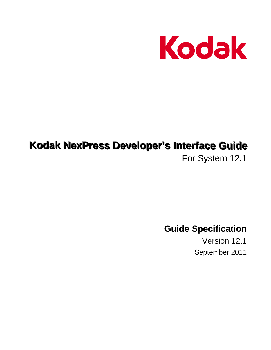

# **Kodak NexPress Developer's Interface Guide**

For System 12.1

**Guide Specification**

Version 12.1 September 2011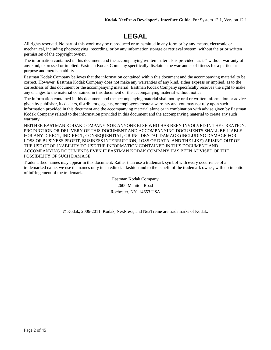# **LEGAL**

All rights reserved. No part of this work may be reproduced or transmitted in any form or by any means, electronic or mechanical, including photocopying, recording, or by any information storage or retrieval system, without the prior written permission of the copyright owner.

The information contained in this document and the accompanying written materials is provided "as is" without warranty of any kind, expressed or implied. Eastman Kodak Company specifically disclaims the warranties of fitness for a particular purpose and merchantability.

Eastman Kodak Company believes that the information contained within this document and the accompanying material to be correct. However, Eastman Kodak Company does not make any warranties of any kind, either express or implied, as to the correctness of this document or the accompanying material. Eastman Kodak Company specifically reserves the right to make any changes to the material contained in this document or the accompanying material without notice.

The information contained in this document and the accompanying material shall not by oral or written information or advice given by publisher, its dealers, distributors, agents, or employees create a warranty and you may not rely upon such information provided in this document and the accompanying material alone or in combination with advise given by Eastman Kodak Company related to the information provided in this document and the accompanying material to create any such warranty.

NEITHER EASTMAN KODAK COMPANY NOR ANYONE ELSE WHO HAS BEEN INVOLVED IN THE CREATION, PRODUCTION OR DELIVERY OF THIS DOCUMENT AND ACCOMPANYING DOCUMENTS SHALL BE LIABLE FOR ANY DIRECT, INDIRECT, CONSEQUENTIAL, OR INCIDENTAL DAMAGE (INCLUDING DAMAGE FOR LOSS OF BUSINESS PROFIT, BUSINESS INTERRUPTION, LOSS OF DATA, AND THE LIKE) ARISING OUT OF THE USE OF OR INABILITY TO USE THE INFORMATION CONTAINED IN THIS DOCUMENT AND ACCOMPANYING DOCUMENTS EVEN IF EASTMAN KODAK COMPANY HAS BEEN ADVISED OF THE POSSIBILITY OF SUCH DAMAGE.

Trademarked names may appear in this document. Rather than use a trademark symbol with every occurrence of a trademarked name, we use the names only in an editorial fashion and to the benefit of the trademark owner, with no intention of infringement of the trademark.

> Eastman Kodak Company 2600 Manitou Road Rochester, NY 14653 USA

© Kodak. 2006-2011. Kodak, NexPress, and NexTreme are trademarks of Kodak.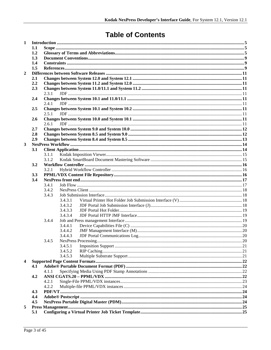# **Table of Contents**

| $\mathbf{1}$            |     |                |         |  |  |  |  |  |  |
|-------------------------|-----|----------------|---------|--|--|--|--|--|--|
|                         | 1.1 |                |         |  |  |  |  |  |  |
|                         | 1.2 |                |         |  |  |  |  |  |  |
|                         | 1.3 |                |         |  |  |  |  |  |  |
|                         | 1.4 |                |         |  |  |  |  |  |  |
|                         | 1.5 |                |         |  |  |  |  |  |  |
| $\overline{2}$          |     |                |         |  |  |  |  |  |  |
|                         | 2.1 |                |         |  |  |  |  |  |  |
|                         | 2.2 |                |         |  |  |  |  |  |  |
|                         | 2.3 |                |         |  |  |  |  |  |  |
|                         |     | 2.3.1          |         |  |  |  |  |  |  |
|                         | 2.4 |                |         |  |  |  |  |  |  |
|                         |     | 2.4.1          |         |  |  |  |  |  |  |
|                         | 2.5 |                |         |  |  |  |  |  |  |
|                         |     | 2.5.1          |         |  |  |  |  |  |  |
|                         | 2.6 |                |         |  |  |  |  |  |  |
|                         |     | 2.6.1          |         |  |  |  |  |  |  |
|                         | 2.7 |                |         |  |  |  |  |  |  |
|                         | 2.8 |                |         |  |  |  |  |  |  |
|                         | 2.9 |                |         |  |  |  |  |  |  |
| $\overline{\mathbf{3}}$ |     |                |         |  |  |  |  |  |  |
|                         | 3.1 |                |         |  |  |  |  |  |  |
|                         |     | 3.1.1<br>3.1.2 |         |  |  |  |  |  |  |
|                         | 3.2 |                |         |  |  |  |  |  |  |
|                         |     |                |         |  |  |  |  |  |  |
|                         | 3.3 | 3.2.1          |         |  |  |  |  |  |  |
|                         | 3.4 |                |         |  |  |  |  |  |  |
|                         |     | 3.4.1          |         |  |  |  |  |  |  |
|                         |     | 3.4.2          |         |  |  |  |  |  |  |
|                         |     | 3.4.3          |         |  |  |  |  |  |  |
|                         |     |                | 3.4.3.1 |  |  |  |  |  |  |
|                         |     |                | 3.4.3.2 |  |  |  |  |  |  |
|                         |     |                | 3.4.3.3 |  |  |  |  |  |  |
|                         |     |                | 3.4.3.4 |  |  |  |  |  |  |
|                         |     | 3.4.4          |         |  |  |  |  |  |  |
|                         |     |                | 3.4.4.1 |  |  |  |  |  |  |
|                         |     |                | 3.4.4.2 |  |  |  |  |  |  |
|                         |     |                | 3.4.4.3 |  |  |  |  |  |  |
|                         |     | 3.4.5          |         |  |  |  |  |  |  |
|                         |     |                | 3.4.5.1 |  |  |  |  |  |  |
|                         |     |                | 3.4.5.2 |  |  |  |  |  |  |
|                         |     |                | 3.4.5.3 |  |  |  |  |  |  |
| 4                       |     |                |         |  |  |  |  |  |  |
|                         | 4.1 |                |         |  |  |  |  |  |  |
|                         |     | 4.1.1          |         |  |  |  |  |  |  |
|                         | 4.2 |                |         |  |  |  |  |  |  |
|                         |     | 4.2.1          |         |  |  |  |  |  |  |
|                         |     | 4.2.2          |         |  |  |  |  |  |  |
|                         | 4.3 |                |         |  |  |  |  |  |  |
|                         | 4.4 |                |         |  |  |  |  |  |  |
|                         | 4.5 |                |         |  |  |  |  |  |  |
| 5                       |     |                |         |  |  |  |  |  |  |
|                         | 5.1 |                |         |  |  |  |  |  |  |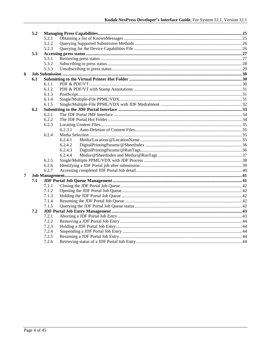|   | 5.2 |       |         |  |  |
|---|-----|-------|---------|--|--|
|   |     | 5.2.1 |         |  |  |
|   |     | 5.2.2 |         |  |  |
|   |     | 5.2.3 |         |  |  |
|   | 5.3 |       |         |  |  |
|   |     | 5.3.1 |         |  |  |
|   |     | 5.3.2 |         |  |  |
|   |     | 5.3.3 |         |  |  |
| 6 |     |       |         |  |  |
|   | 6.1 |       |         |  |  |
|   |     | 6.1.1 |         |  |  |
|   |     | 6.1.2 |         |  |  |
|   |     | 6.1.3 |         |  |  |
|   |     | 6.1.4 |         |  |  |
|   |     | 6.1.5 |         |  |  |
|   | 6.2 |       |         |  |  |
|   |     | 6.2.1 |         |  |  |
|   |     | 6.2.2 |         |  |  |
|   |     | 6.2.3 |         |  |  |
|   |     |       | 6.2.3.1 |  |  |
|   |     | 6.2.4 |         |  |  |
|   |     |       | 6.2.4.1 |  |  |
|   |     |       | 6.2.4.2 |  |  |
|   |     |       | 6.2.4.3 |  |  |
|   |     |       | 6.2.4.4 |  |  |
|   |     | 6.2.5 |         |  |  |
|   |     | 6.2.6 |         |  |  |
|   |     | 6.2.7 |         |  |  |
| 7 |     |       |         |  |  |
|   | 7.1 |       |         |  |  |
|   |     | 7.1.1 |         |  |  |
|   |     | 7.1.2 |         |  |  |
|   |     | 7.1.3 |         |  |  |
|   |     | 7.1.4 |         |  |  |
|   |     | 7.1.5 |         |  |  |
|   | 7.2 |       |         |  |  |
|   |     | 7.2.1 |         |  |  |
|   |     | 7.2.2 |         |  |  |
|   |     | 7.2.3 |         |  |  |
|   |     | 7.2.4 |         |  |  |
|   |     | 7.2.5 |         |  |  |
|   |     | 7.2.6 |         |  |  |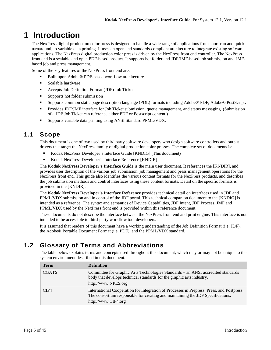# <span id="page-4-0"></span>**1 Introduction**

The NexPress digital production color press is designed to handle a wide range of applications from short-run and quick turnaround, to variable data printing. It uses an open and standards-compliant architecture to integrate existing software applications. The NexPress digital production color press is driven by the NexPress front end controller. The NexPress front end is a scalable and open PDF-based product. It supports hot folder and JDF/JMF-based job submission and JMFbased job and press management.

Some of the key features of the NexPress front end are:

- Built upon Adobe® PDF-based workflow architecture
- **Scalable hardware**
- Accepts Job Definition Format (JDF) Job Tickets
- Supports hot folder submission
- Supports common static page description language (PDL) formats including Adobe® PDF, Adobe® PostScript.
- **Provides JDF/JMF interface for Job Ticket submission, queue management, and status messaging. (Submission** of a JDF Job Ticket can reference either PDF or Postscript content.)
- Supports variable data printing using ANSI Standard PPML/VDX.

# <span id="page-4-1"></span>**1.1 Scope**

This document is one of two used by third party software developers who design software controllers and output drivers that target the NexPress family of digital production color presses. The complete set of documents is:

- Kodak NexPress Developer's Interface Guide [KNDIG] (This document)
- Kodak NexPress Developer's Interface Reference [KNDIR]

The **Kodak NexPress Developer's Interface Guide** is the main user document. It references the [KNDIR], and provides user description of the various job submission, job management and press management operations for the NexPress front end. This guide also identifies the various content formats for the NexPress products, and describes the job submission methods and control interfaces using these content formats. Detail on the specific formats is provided in the [KNDIR].

The **Kodak NexPress Developer's Interface Reference** provides technical detail on interfaces used in JDF and PPML/VDX submission and in control of the JDF portal. This technical companion document to the [KNDIG] is intended as a reference. The syntax and semantics of Device Capabilities, JDF Intent, JDF Process, JMF and PPML/VDX used by the NexPress front end is provided within this reference document.

These documents do not describe the interface between the NexPress front end and print engine. This interface is not intended to be accessible to third-party workflow tool developers.

It is assumed that readers of this document have a working understanding of the Job Definition Format (i.e. JDF), the Adobe® Portable Document Format (i.e. PDF), and the PPML/VDX standard.

# <span id="page-4-2"></span>**1.2 Glossary of Terms and Abbreviations**

The table below explains terms and concepts used throughout this document, which may or may not be unique to the system environment described in this document.

| <b>Term</b>  | <b>Definition</b>                                                                                                                                                                                   |
|--------------|-----------------------------------------------------------------------------------------------------------------------------------------------------------------------------------------------------|
| <b>CGATS</b> | Committee for Graphic Arts Technologies Standards – an ANSI accredited standards<br>body that develops technical standards for the graphic arts industry.<br>http://www.NPES.org                    |
| CIP4         | International Cooperation for Integration of Processes in Prepress, Press, and Postpress.<br>The consortium responsible for creating and maintaining the JDF Specifications.<br>http://www.CIP4.org |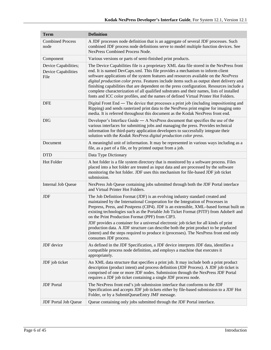| <b>Term</b>                                                | <b>Definition</b>                                                                                                                                                                                                                                                                                                                                                                                                                                                                                                                                                                                                                                                                                      |  |  |
|------------------------------------------------------------|--------------------------------------------------------------------------------------------------------------------------------------------------------------------------------------------------------------------------------------------------------------------------------------------------------------------------------------------------------------------------------------------------------------------------------------------------------------------------------------------------------------------------------------------------------------------------------------------------------------------------------------------------------------------------------------------------------|--|--|
| <b>Combined Process</b><br>node                            | A JDF processes node definition that is an aggregate of several JDF processes. Such<br>combined JDF process node definitions serve to model multiple function devices. See<br><b>NexPress Combined Process Node.</b>                                                                                                                                                                                                                                                                                                                                                                                                                                                                                   |  |  |
| Component                                                  | Various versions or parts of semi-finished print products.                                                                                                                                                                                                                                                                                                                                                                                                                                                                                                                                                                                                                                             |  |  |
| Device Capabilities;<br><b>Device Capabilities</b><br>File | The Device Capabilities file is a proprietary XML data file stored in the NexPress front<br>end. It is named DevCaps.xml. This file provides a mechanism to inform client<br>software applications of the system features and resources available on the NexPress<br>digital production color press. Features include items such as output sheet delivery and<br>finishing capabilities that are dependent on the press configuration. Resources include a<br>complete characterization of all qualified substrates and their names, lists of installed<br>fonts and ICC color profiles, and the names of defined Virtual Printer Hot Folders.                                                         |  |  |
| <b>DFE</b>                                                 | Digital Front End — The device that processes a print job (including impositioning and<br>Ripping) and sends rasterized print data to the NexPress print engine for imaging onto<br>media. It is referred throughout this document as the Kodak NexPress front end.                                                                                                                                                                                                                                                                                                                                                                                                                                    |  |  |
| <b>DIG</b>                                                 | Developer's Interface Guide — A NexPress document that specifies the use of the<br>various interfaces for submitting jobs and managing the press. Provides technical<br>information for third-party application developers to successfully integrate their<br>solution with the Kodak NexPress digital production color press.                                                                                                                                                                                                                                                                                                                                                                         |  |  |
| Document                                                   | A meaningful unit of information. It may be represented in various ways including as a<br>file, as a part of a file, or by printed output from a job.                                                                                                                                                                                                                                                                                                                                                                                                                                                                                                                                                  |  |  |
| <b>DTD</b>                                                 | Data Type Dictionary                                                                                                                                                                                                                                                                                                                                                                                                                                                                                                                                                                                                                                                                                   |  |  |
| Hot Folder                                                 | A hot folder is a file system directory that is monitored by a software process. Files<br>placed into a hot folder are treated as input data and are processed by the software<br>monitoring the hot folder. JDF uses this mechanism for file-based JDF job ticket<br>submission.                                                                                                                                                                                                                                                                                                                                                                                                                      |  |  |
| Internal Job Queue                                         | NexPress Job Queue containing jobs submitted through both the JDF Portal interface<br>and Virtual Printer Hot Folders.                                                                                                                                                                                                                                                                                                                                                                                                                                                                                                                                                                                 |  |  |
| <b>JDF</b>                                                 | The Job Definition Format (JDF) is an evolving industry standard created and<br>maintained by the International Cooperation for the Integration of Processes in<br>Prepress, Press, and Postpress (CIP4). JDF is an extensible, XML-based format built on<br>existing technologies such as the Portable Job Ticket Format (PJTF) from Adobe® and<br>on the Print Production Format (PPF) from CIP3.<br>JDF provides a container for a universal electronic job ticket for all kinds of print<br>production data. A JDF structure can describe both the print product to be produced<br>(intent) and the steps required to produce it (processes). The NexPress front end only<br>consumes JDF process. |  |  |
| JDF device                                                 | As defined in the JDF Specification, a JDF device interprets JDF data, identifies a<br>compatible process node definition, and employs a machine that executes it<br>appropriately.                                                                                                                                                                                                                                                                                                                                                                                                                                                                                                                    |  |  |
| JDF job ticket                                             | An XML data structure that specifies a print job. It may include both a print product<br>description (product intent) and process definition (JDF Process). A JDF job ticket is<br>comprised of one or more JDF nodes. Submission through the NexPress JDF Portal<br>requires a JDF job ticket containing a single JDF process node.                                                                                                                                                                                                                                                                                                                                                                   |  |  |
| <b>JDF</b> Portal                                          | The NexPress front end's job submission interface that conforms to the JDF<br>Specification and accepts JDF job tickets either by file-based submission to a JDF Hot<br>Folder, or by a SubmitQueueEntry JMF message.                                                                                                                                                                                                                                                                                                                                                                                                                                                                                  |  |  |
| <b>JDF</b> Portal Job Queue                                | Queue containing only jobs submitted through the JDF Portal interface.                                                                                                                                                                                                                                                                                                                                                                                                                                                                                                                                                                                                                                 |  |  |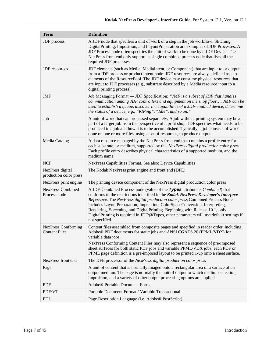| <b>Term</b>                                        | <b>Definition</b>                                                                                                                                                                                                                                                                                                                                                                                                                                                                                                                       |  |  |  |
|----------------------------------------------------|-----------------------------------------------------------------------------------------------------------------------------------------------------------------------------------------------------------------------------------------------------------------------------------------------------------------------------------------------------------------------------------------------------------------------------------------------------------------------------------------------------------------------------------------|--|--|--|
| JDF process                                        | A JDF node that specifies a unit of work or a step in the job workflow. Stitching,<br>DigitalPrinting, Imposition, and LayoutPreparation are examples of JDF Processes. A<br>JDF Process node often specifies the unit of work to be done by a JDF Device. The<br>NexPress front end only supports a single combined process node that lists all the<br>required JDF processes.                                                                                                                                                         |  |  |  |
| <b>JDF</b> resources                               | JDF elements (such as Media, MediaIntent, or Component) that are input to or output<br>from a JDF process or product intent node. JDF resources are always defined as sub-<br>elements of the ResourcePool. The JDF device may consume physical resources that<br>are input to JDF processes (e.g., substrate described by a Media resource input to a<br>digital printing process).                                                                                                                                                    |  |  |  |
| <b>JMF</b>                                         | Job Messaging Format - JDF Specification: "JMF is a subset of JDF that handles<br>communication among JDF controllers and equipment on the shop floor JMF can be<br>used to establish a queue, discover the capabilities of a JDF-enabled device, determine<br>the status of a device, e.g., "RIPing", "Idle", and so on."                                                                                                                                                                                                              |  |  |  |
| Job                                                | A unit of work that can processed separately. A job within a printing system may be a<br>part of a larger job from the perspective of a print shop. JDF specifies what needs to be<br>produced in a job and how it is to be accomplished. Typically, a job consists of work<br>done on one or more files, using a set of resources, to produce output.                                                                                                                                                                                  |  |  |  |
| Media Catalog                                      | A data resource managed by the NexPress front end that contains a profile entry for<br>each substrate, or medium, supported by this NexPress digital production color press.<br>Each profile entry describes physical characteristics of a supported medium, and the<br>medium name.                                                                                                                                                                                                                                                    |  |  |  |
| <b>NCF</b>                                         | NexPress Capabilities Format. See also: Device Capabilities                                                                                                                                                                                                                                                                                                                                                                                                                                                                             |  |  |  |
| NexPress digital<br>production color press         | The Kodak NexPress print engine and front end (DFE).                                                                                                                                                                                                                                                                                                                                                                                                                                                                                    |  |  |  |
| NexPress print engine                              | The printing device component of the NexPress digital production color press                                                                                                                                                                                                                                                                                                                                                                                                                                                            |  |  |  |
| <b>NexPress Combined</b><br>Process node           | A JDF-Combined Process node (value of the Types attribute is <i>Combined</i> ) that<br>conforms to the restrictions identified in the Kodak NexPress Developer's Interface<br>Reference. The NexPress digital production color press Combined Process Node<br>includes LayoutPreparation, Imposition, ColorSpaceConversion, Interpreting,<br>Rendering, Screening, and DigitalPrinting. Beginning with Release 10.1, only<br>DigitalPrinting is required in JDF/@Types, other parameters will use default settings if<br>not specified. |  |  |  |
| <b>NexPress Conforming</b><br><b>Content Files</b> | Content files assembled from composite pages and specified in reader order, including<br>Adobe® PDF documents for static jobs and ANSI CGATS.20 (PPML/VDX) for<br>variable data jobs.<br>NexPress Conforming Content Files may also represent a sequence of pre-imposed<br>sheet surfaces for both static PDF jobs and variable PPML/VDX jobs; each PDF or<br>PPML page definition is a pre-imposed layout to be printed 1-up onto a sheet surface.                                                                                     |  |  |  |
| NexPress front end                                 | The DFE processor of the NexPress digital production color press                                                                                                                                                                                                                                                                                                                                                                                                                                                                        |  |  |  |
| Page                                               | A unit of content that is normally imaged onto a rectangular area of a surface of an<br>output medium. The page is normally the unit of output to which medium selection,<br>imposition, and a variety of other output processing options are applied.                                                                                                                                                                                                                                                                                  |  |  |  |
| <b>PDF</b>                                         | Adobe® Portable Document Format                                                                                                                                                                                                                                                                                                                                                                                                                                                                                                         |  |  |  |
| PDF/VT                                             | Portable Document Format / Variable Transactional                                                                                                                                                                                                                                                                                                                                                                                                                                                                                       |  |  |  |
| <b>PDL</b>                                         | Page Description Language (i.e. Adobe® PostScript).                                                                                                                                                                                                                                                                                                                                                                                                                                                                                     |  |  |  |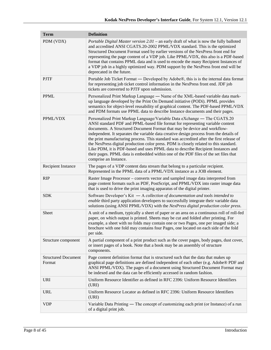| <b>Term</b>                          | <b>Definition</b>                                                                                                                                                                                                                                                                                                                                                                                                                                                                                                                                                                                                                                                                                                           |
|--------------------------------------|-----------------------------------------------------------------------------------------------------------------------------------------------------------------------------------------------------------------------------------------------------------------------------------------------------------------------------------------------------------------------------------------------------------------------------------------------------------------------------------------------------------------------------------------------------------------------------------------------------------------------------------------------------------------------------------------------------------------------------|
| PDM (VDX)                            | <i>Portable Digital Master version 2.01</i> – an early draft of what is now the fully balloted<br>and accredited ANSI CGATS.20-2002 PPML/VDX standard. This is the optimized<br>Structured Document Format used by earlier versions of the NexPress front end for<br>representing the page content of a VDP job. Like PPML/VDX, this also is a PDF-based<br>format that contains PPML data and is used to encode the many Recipient Instances of<br>a VDP job in a highly optimized way. PDM support by the NexPress front end will be<br>deprecated in the future.                                                                                                                                                         |
| <b>PJTF</b>                          | Portable Job Ticket Format — Developed by Adobe®, this is is the internal data format<br>for representing job ticket control information in the NexPress front end. JDF job<br>tickets are converted to PJTF upon submission.                                                                                                                                                                                                                                                                                                                                                                                                                                                                                               |
| <b>PPML</b>                          | Personalized Print Markup Language — Name of the XML-based variable data mark-<br>up language developed by the Print On Demand initiative (PODi). PPML provides<br>semantics for object-level reusability of graphical content. The PDF-based PPML/VDX<br>and PDM formats use PPML data to describe Instance documents and their pages.                                                                                                                                                                                                                                                                                                                                                                                     |
| PPML/VDX                             | Personalized Print Markup Language/Variable Data eXchange — The CGATS.20<br>ANSI standard PDF and PPML-based file format for representing variable content<br>documents. A Structured Document Format that may be device and workflow-<br>independent. It separates the variable data creative design process from the details of<br>the print manufacturing process. This standard was accredited after the first release of<br>the NexPress digital production color press. PDM is closely related to this standard.<br>Like PDM, it is PDF-based and uses PPML data to describe Recipient Instances and<br>their pages. PPML data is embedded within one of the PDF files of the set files that<br>comprise an Instance. |
| <b>Recipient Instance</b>            | The pages of a VDP content data stream that belong to a particular recipient.<br>Represented in the PPML data of a PPML/VDX instance as a JOB element.                                                                                                                                                                                                                                                                                                                                                                                                                                                                                                                                                                      |
| <b>RIP</b>                           | Raster Image Processor – converts vector and sampled image data interpreted from<br>page content formats such as PDF, PostScript, and PPML/VDX into raster image data<br>that is used to drive the print imaging apparatus of the digital printer.                                                                                                                                                                                                                                                                                                                                                                                                                                                                          |
| <b>SDK</b>                           | Software Developer's Kit $-$ A collection of documentation and tools intended to<br>enable third party application developers to successfully integrate their variable data<br>solutions (using ANSI PPML/VDX) with the NexPress digital production color press.                                                                                                                                                                                                                                                                                                                                                                                                                                                            |
| Sheet                                | A unit of a medium, typically a sheet of paper or an area on a continuous roll of roll-fed<br>paper, on which output is printed. Sheets may be cut and folded after printing. For<br>example, a sheet with no folds may contain one or two Pages, one per imaged side; a<br>brochure with one fold may contains four Pages, one located on each side of the fold<br>per side.                                                                                                                                                                                                                                                                                                                                               |
| Structure component                  | A partial component of a print product such as the cover pages, body pages, dust cover,<br>or insert pages of a book. Note that a book may be an assembly of structure<br>components.                                                                                                                                                                                                                                                                                                                                                                                                                                                                                                                                       |
| <b>Structured Document</b><br>Format | Page content definition format that is structured such that the data that makes up<br>graphical page definitions are defined independent of each other (e.g. Adobe® PDF and<br>ANSI PPML/VDX). The pages of a document using Structured Document Format may<br>be indexed and the data can be efficiently accessed in random fashion.                                                                                                                                                                                                                                                                                                                                                                                       |
| <b>URI</b>                           | Uniform Resource Identifier as defined in RFC 2396: Uniform Resource Identifiers<br>(URI)                                                                                                                                                                                                                                                                                                                                                                                                                                                                                                                                                                                                                                   |
| <b>URL</b>                           | Uniform Resource Locator as defined in RFC 2396: Uniform Resource Identifiers<br>(URI)                                                                                                                                                                                                                                                                                                                                                                                                                                                                                                                                                                                                                                      |
| <b>VDP</b>                           | Variable Data Printing — The concept of customizing each print (or Instance) of a run<br>of a digital print job.                                                                                                                                                                                                                                                                                                                                                                                                                                                                                                                                                                                                            |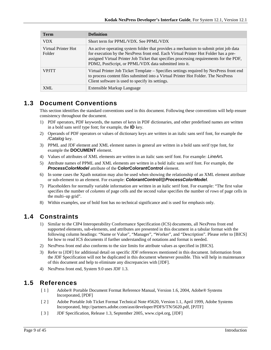| <b>Term</b>                   | <b>Definition</b>                                                                                                                                                                                                                                                                                                               |
|-------------------------------|---------------------------------------------------------------------------------------------------------------------------------------------------------------------------------------------------------------------------------------------------------------------------------------------------------------------------------|
| <b>VDX</b>                    | Short term for PPML/VDX. See PPML/VDX                                                                                                                                                                                                                                                                                           |
| Virtual Printer Hot<br>Folder | An active operating system folder that provides a mechanism to submit print job data<br>for execution by the NexPress front end. Each Virtual Printer Hot Folder has a pre-<br>assigned Virtual Printer Job Ticket that specifies processing requirements for the PDF,<br>PDM2, PostScript, or PPML/VDX data submitted into it. |
| <b>VPITT</b>                  | Virtual Printer Job Ticket Template – Specifies settings required by NexPress front end<br>to process content files submitted into a Virtual Printer Hot Folder. The NexPress<br>Client software is used to specify its settings.                                                                                               |
| XML                           | Extensible Markup Language                                                                                                                                                                                                                                                                                                      |

# <span id="page-8-0"></span>**1.3 Document Conventions**

This section identifies the standard conventions used in this document. Following these conventions will help ensure consistency throughout the document.

- 1) PDF operators, PDF keywords, the names of keys in PDF dictionaries, and other predefined names are written in a bold sans serif type font; for example, the **ID** key.
- 2) Operands of PDF operators or values of dictionary keys are written in an italic sans serif font, for example the */Catalog* key.
- 3) PPML and JDF element and XML element names in general are written in a bold sans serif type font, for example the **DOCUMENT** element.
- 4) Values of attributes of XML elements are written in an italic sans serif font. For example: *LineArt.*
- 5) Attribute names of PPML and XML elements are written in a bold italic sans serif font. For example, the *ProcessColorModel* attribute of the **ColorColorantControl** element.
- 6) In some cases the Xpath notation may also be used when showing the relationship of an XML element attribute or sub-element to an element. For example: *ColorantControl/@ProcessColorModel*.
- 7) Placeholders for normally variable information are written in an italic serif font. For example: "The first value specifies the number of *columns* of page cells and the second value specifies the number of *rows* of page cells in the multi–up grid".
- 8) Within examples, use of bold font has no technical significance and is used for emphasis only.

# <span id="page-8-1"></span>**1.4 Constraints**

- 1) Similar to the CIP4 Interoperability Conformance Specification (ICS) documents, all NexPress front end supported elements, sub-elements, and attributes are presented in this document in a tabular format with the following column headings: "Name or Value", "Manager", "Worker", and "Description". Please refer to [BICS] for how to read ICS documents if further understanding of notations and format is needed.
- 2) NexPress front end also conforms to the size limits for attribute values as specified in [BICS].
- 3) Refer to [JDF] for additional detail on specific JDF references mentioned in this document. Information from the JDF Specification will not be duplicated in this document whenever possible. This will help in maintenance of this document and help to eliminate any discrepancies with [JDF].
- 4) NexPress front end, System 9.0 uses JDF 1.3.

# <span id="page-8-2"></span>**1.5 References**

- [ 1 ] Adobe® Portable Document Format Reference Manual, Version 1.6, 2004, Adobe® Systems Incorporated, [PDF]
- [ 2 ] Adobe Portable Job Ticket Format Technical Note #5620, Version 1.1, April 1999, Adobe Systems Incorporated, http://partners.adobe.com/asn/developer/PDFS/TN/5620.pdf, [PJTF]
- [ 3 ] JDF Specification, Release 1.3, September 2005, www.cip4.org, [JDF]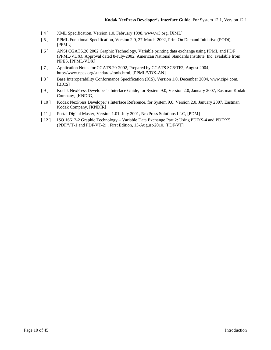- [ 4 ] XML Specification, Version 1.0, February 1998[, www.w3.org,](http://www.w3.org/) [XML]
- [ 5 ] PPML Functional Specification, Version 2.0, 27-March-2002, Print On Demand Initiative (PODi), [PPML]
- [ 6 ] ANSI CGATS.20:2002 Graphic Technology, Variable printing data exchange using PPML and PDF (PPML/VDX), Approval dated 8-July-2002, American National Standards Institute, Inc. available from NPES, [PPML/VDX]
- [ 7 ] Application Notes for CGATS.20-2002, Prepared by CGATS SC6/TF2, August 2004, http://www.npes.org/standards/tools.html, [PPML/VDX-AN]
- [8] Base Interoperability Conformance Specification (ICS), Version 1.0, December 2004, www.cip4.com, [BICS]
- [ 9 ] Kodak NexPress Developer's Interface Guide, for System 9.0, Version 2.0, January 2007, Eastman Kodak Company, [KNDIG]
- [ 10 ] Kodak NexPress Developer's Interface Reference, for System 9.0, Version 2.0, January 2007, Eastman Kodak Company, [KNDIR]
- [ 11 ] Portal Digital Master, Version 1.01, July 2001, NexPress Solutions LLC, [PDM]
- [ 12 ] ISO 16612-2 Graphic Technology Variable Data Exchange Part 2: Using PDF/X-4 and PDF/X5 (PDF/VT-1 and PDF/VT-2) , First Edition, 15-August-2010. [PDF/VT]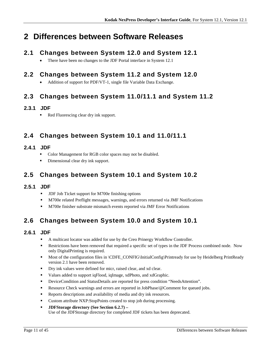# <span id="page-10-0"></span>**2 Differences between Software Releases**

# <span id="page-10-1"></span>**2.1 Changes between System 12.0 and System 12.1**

• There have been no changes to the JDF Portal interface in System 12.1

# <span id="page-10-2"></span>**2.2 Changes between System 11.2 and System 12.0**

• Addition of support for PDF/VT-1, single file Variable Data Exchange.

# <span id="page-10-3"></span>**2.3 Changes between System 11.0/11.1 and System 11.2**

## <span id="page-10-4"></span>**2.3.1 JDF**

Red Fluorescing clear dry ink support.

# <span id="page-10-5"></span>**2.4 Changes between System 10.1 and 11.0/11.1**

## <span id="page-10-6"></span>**2.4.1 JDF**

- Color Management for RGB color spaces may not be disabled.
- Dimensional clear dry ink support.

# <span id="page-10-7"></span>**2.5 Changes between System 10.1 and System 10.2**

## <span id="page-10-8"></span>**2.5.1 JDF**

- **JDF Job Ticket support for M700e finishing options**
- M700e related Preflight messages, warnings, and errors returned via JMF Notifications
- M700e finisher substrate mismatch events reported via JMF Error Notifications

# <span id="page-10-9"></span>**2.6 Changes between System 10.0 and System 10.1**

## <span id="page-10-10"></span>**2.6.1 JDF**

- A multicast locator was added for use by the Creo Prinergy Workflow Controller.
- **Restrictions have been removed that required a specific set of types in the JDF Process combined node.** Now only DigitalPrinting is required.
- Most of the configuration files in \CDFE\_CONFIG\InitialConfig\Printready for use by Heidelberg PrintReady version 2.1 have been removed.
- Dry ink values were defined for micr, raised clear, and xd clear.
- Values added to support iqFlood, iqImage, xdPhoto, and xdGraphic.
- DeviceCondition and StatusDetails are reported for press condition "NeedsAttention".
- Resource Check warnings and errors are reported in JobPhase/@Comment for queued jobs.
- Reports descriptions and availability of media and dry ink resources.
- Custom attribute NXP:StopPoints created to stop job during processing.
- **JDFStorage directory (See Section [6.2.7\)](#page-39-0) –** Use of the JDFStorage directory for completed JDF tickets has been deprecated.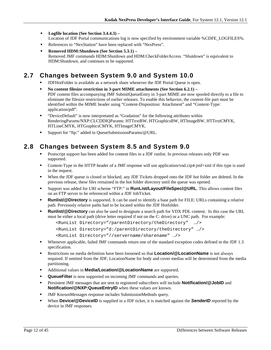- **Logfile location (See Section [3.4.4.3\)](#page-19-2) –** Location of JDF Portal communications log is now specified by environment variable %CDFE\_LOGFILES%.
- References to "NexStation" have been replaced with "NexPress".
- **Removed HDM:Shutdown (See Section 5.3.1)** Removed JMF commands HDM:Shutdown and HDM:CheckFolderAccess. "Shutdown" is equivalent to HDM:Shutdown, and continues to be supported.

# <span id="page-11-0"></span>**2.7 Changes between System 9.0 and System 10.0**

- JDFHotFolder is available as a network share whenever the JDF Portal Queue is open.
- **No content filesize restriction in 3-part MIME attachments (See Sectio[n 6.2.1\)](#page-33-0) –** PDF content files accompanying JMF SubmitQueueEntry in 3-part MIME are now spooled directly to a file to eliminate the filesize restrictions of earlier releases. To enable this behavior, the content-file part must be identified within the MIME header using "Content-Disposition: Attachment" and "Content-Type: application/pdf".
- "DeviceDefault" is now interpretated as "Gradation" for the following attributes within RenderingParams/NXP:CLCDDIQParams: HTTextBW, HTGraphicsBW, HTImageBW, HTTextCMYK, HTLineCMYK, HTGraphicsCMYK, HTImageCMYK.
- Support for "ftp:" added to QueueSubmissionParams/@URL.

# <span id="page-11-1"></span>**2.8 Changes between System 8.5 and System 9.0**

- Postscript support has been added for content files in a JDF runlist. In previous releases only PDF was supported.
- Content-Type in the HTTP header of a JMF response will use application/vnd.cip4-jmf+xml if this type is used in the request.
- When the JDF queue is closed or blocked, any JDF Tickets dropped onto the JDF hot folder are deleted. In the previous release, these files remained in the hot folder directory until the queue was opened.
- Support was added for URI scheme "FTP:" in **RunList/Layout/FileSpec/@URL**. This allows content files on an FTP server to be referenced within a JDF JobTicket.
- **Runlist/@Directory** is supported. It can be used to identify a base path for FILE: URLs containing a relative path. Previously relative paths had to be located within the JDF Hotfolder.
- **Runlist/@Directory** can also be used to designate a search path for VDX PDL content. In this case the URL must be either a local path (drive letter required if not on the C: drive) or a UNC path. For example:

```
<RunList Directory="/parentDirectory/theDirectory" …/>
<RunList Directory="d:/parentDirectory/theDirectory" …/>
<RunList Directory="//servername/sharename" …/>
```
- Whenever applicable, failed JMF commands return one of the standard exception codes defined in the JDF 1.3 specification.
- **Restrictions on media definition have been loosened so that <b>Location/@LocationName** is not always required. If omitted from the JDF, LocationName for body and cover medias will be determined from the media partitioning.
- Additional values in **Media/Location/@LocationName** are supported.
- **QueueFilter** is now supported on incoming JMF commands and queries.
- **Persistent JMF messages that are sent to registered subscribers will include <b>Notification/@JobID** and **Notification/@NXP:QueueEntryID** when these values are known.
- JMF KnownMessages response includes SubmissionMethods query.
- **When Device/@DeviceID** is supplied in a JDF ticket, it is matched against the **SenderID** reported by the device in JMF responses.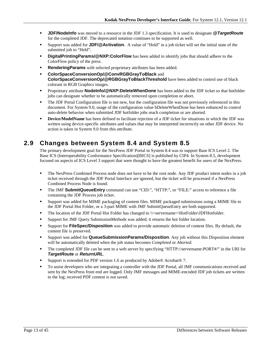- **JDF/NodeInfo** was moved to a resource in the JDF 1.3 specification. It is used to designate **@TargetRoute** for the completed JDF. The deprecated notation continues to be supported as well.
- Support was added for **JDF/@Activation**. A value of "Held" in a job ticket will set the initial state of the submitted job to "Held".
- **DigitalPrintingParams/@NXP:ColorFlow** has been added to identify jobs that should adhere to the ColorFlow policy of the press.
- **RenderingParams** with selected proprietary attributes has been added.
- **ColorSpaceConversionOp/@ConvRGBGrayToBlack** and **ColorSpaceConversionOp/@RGBGrayToBlackThreshold** have been added to control use of black colorant in RGB Graphics images.
- Proprietary attribute **NodeInfo/@NXP:DeleteWhenDone** has been added to the JDF ticket so that hotfolder jobs can designate whether to be automatically removed upon completion or abort.
- The JDF Portal Configuration file is not new, but the configuration file was not previously referenced in this document. For System 9.0, usage of the configuration value bDeleteWhenDone has been enhanced to control auto-delete behavior when submitted JDF hotfolder jobs reach completion or are aborted.
- **Device/ModelName** has been defined to facilitate rejection of a JDF ticket for situations in which the JDF was written using device-specific attributes and values that may be interpreted incorrectly on other JDF device. No action is taken in System 9.0 from this attribute.

# <span id="page-12-0"></span>**2.9 Changes between System 8.4 and System 8.5**

The primary development goal for the NexPress JDF Portal in System 8.4 was to support Base ICS Level 2. The Base ICS (Interoperability Conformance Specification)[BICS] is published by CIP4. In System 8.5, development focused on aspects of ICS Level 3 support that were thought to have the greatest benefit for users of the NexPress.

- The NexPress Combined Process node does not have to be the root node. Any JDF product intent nodes in a job ticket received through the JDF Portal Interface are ignored, but the ticket will be processed if a NexPress Combined Process Node is found.
- The JMF **SubmitQueueEntry** command can use "CID:", "HTTP:", or "FILE:" access to reference a file containing the JDF Process job ticket.
- Support was added for MIME packaging of content files. MIME packaged submissions using a MIME file to the JDF Portal Hot Folder, or a 3-part MIME with JMF SubmitQueueEntry are both supported.
- The location of the JDF Portal Hot Folder has changed to \\<servername>\HotFolder\JDFHotfolder.
- Support for JMF Query SubmissionMethods was added; it returns the hot folder location.
- Support for **FileSpec/Disposition** was added to provide automatic deletion of content files. By default, the content file is preserved.
- Support was added for **QueueSubmissionParams/Disposition**. Any job without this Disposition element will be automatically deleted when the job status becomes *Completed* or *Aborted.*
- The completed JDF file can be sent to a web server by specifying "HTTP://servername:PORT#/" in the URI for *TargetRoute* or *ReturnURL*.
- Support is extended for PDF version 1.6 as produced by Adobe® Acrobat® 7.
- To assist developers who are integrating a controller with the JDF Portal, all JMF communications received and sent by the NexPress front end are logged. Only JMF messages and MIME-encoded JDF job tickets are written to the log; received PDF content is not saved.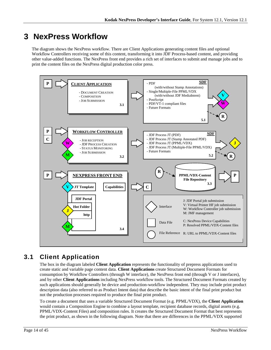# <span id="page-13-0"></span>**3 NexPress Workflow**

The diagram shows the NexPress workflow. There are Client Applications generating content files and optional Workflow Controllers receiving some of this content, transforming it into JDF Process-based content, and providing other value-added functions. The NexPress front end provides a rich set of interfaces to submit and manage jobs and to print the content files on the NexPress digital production color press.



# <span id="page-13-1"></span>**3.1 Client Application**

The box in the diagram labeled **Client Application** represents the functionality of prepress applications used to create static and variable page content data. **Client Applications** create Structured Document Formats for consumption by Workflow Controllers (through W interface), the NexPress front end (through V or J interfaces), and by other **Client Applications** including NexPress workflow tools. The Structured Document Formats created by such applications should generally be device and production-workflow independent. They may include print product description data (also referred to as Product Intent data) that describe the basic intent of the final print product but not the production processes required to produce the final print product.

To create a document that uses a variable Structured Document Format (e.g. PPML/VDX), the **Client Application** would contain a Composition Engine to combine a layout template, recipient database records, digital assets (e.g. PPML/VDX-Content Files) and composition rules. It creates the Structured Document Format that best represents the print product, as shown in the following diagram. Note that there are differences in the PPML/VDX supported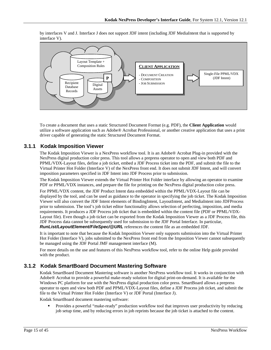by interfaces V and J. Interface J does not support JDF intent (including JDF MediaIntent that is supported by interface V).



To create a document that uses a static Structured Document Format (e.g. PDF), the **Client Application** would utilize a software application such as Adobe® Acrobat Professional, or another creative application that uses a print driver capable of generating the static Structured Document Format.

### <span id="page-14-0"></span>**3.1.1 Kodak Imposition Viewer**

The Kodak Imposition Viewer is a NexPress workflow tool. It is an Adobe® Acrobat Plug-in provided with the NexPress digital production color press. This tool allows a prepress operator to open and view both PDF and PPML/VDX-Layout files, define a job ticket, embed a JDF Process ticket into the PDF, and submit the file to the Virtual Printer Hot Folder (Interface V) of the NexPress front end. It does not submit JDF Intent, and will convert imposition parameters specified in JDF Intent into JDF Process prior to submission.

The Kodak Imposition Viewer extends the Virtual Printer Hot Folder interface by allowing an operator to examine PDF or PPML/VDX instances, and prepare the file for printing on the NexPress digital production color press.

For PPML/VDX content, the JDF Product Intent data embedded within the PPML/VDX-Layout file can be displayed by the tool, and can be used as guidance to the operator in specifying the job ticket. The Kodak Imposition Viewer will also convert the JDF Intent elements of BindingIntent, LayoutIntent, and MediaIntent into JDFProcess prior to submission. The tool's job ticket editor functionality allows selection of perfecting, imposition, and media requirements. It produces a JDF Process job ticket that is embedded within the content file (PDF or PPML/VDX-Layout file). Even though a job ticket can be exported from the Kodak Imposition Viewer as a JDF Process file, this JDF Process data cannot be subsequently used for submission to the JDF Portal Interface. In particular, *RunList/LayoutElement/FileSpec/@URL* references the content file as an embedded JDF.

It is important to note that because the Kodak Imposition Viewer only supports submission into the Virtual Printer Hot Folder (Interface V), jobs submitted to the NexPress front end from the Imposition Viewer cannot subsequently be managed using the JDF Portal JMF management interface (M).

For more details on the use and features of this NexPress workflow tool, refer to the online Help guide provided with the product.

### <span id="page-14-1"></span>**3.1.2 Kodak SmartBoard Document Mastering Software**

Kodak SmartBoard Document Mastering software is another NexPress workflow tool. It works in conjunction with Adobe® Acrobat to provide a powerful make-ready solution for digital print-on-demand. It is available for the Windows PC platform for use with the NexPress digital production color press. SmartBoard allows a prepress operator to open and view both PDF and PPML/VDX-Layout files, define a JDF Process job ticket, and submit the file to the Virtual Printer Hot Folder (Interface V) or JDF Portal (Interface J).

Kodak SmartBoard document mastering software:

 Provides a powerful "make-ready" production workflow tool that improves user productivity by reducing job setup time, and by reducing errors in job reprints because the job ticket is attached to the content.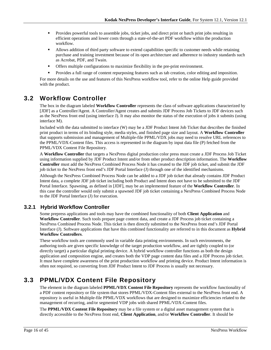- **Provides powerful tools to assemble jobs, ticket jobs, and direct print or batch print jobs resulting in** efficient operations and lower costs through a state-of-the-art PDF workflow within the production workflow.
- Allows addition of third party software to extend capabilities specific to customer needs while retaining purchase and training investment because of its open architecture and adherence to industry standards such as Acrobat, PDF, and Twain.
- Offers multiple configurations to maximize flexibility in the pre-print environment.
- Provides a full range of content repurposing features such as tab creation, color editing and imposition.

For more details on the use and features of this NexPress workflow tool, refer to the online Help guide provided with the product.

# <span id="page-15-0"></span>**3.2 Workflow Controller**

The box in the diagram labeled **Workflow Controller** represents the class of software applications characterized by [JDF] as a Controller/Agent. A Controller/Agent creates and submits JDF Process Job Tickets to JDF devices such as the NexPress front end (using interface J). It may also monitor the status of the execution of jobs it submits (using interface M).

Included with the data submitted to interface (W) may be a JDF Product Intent Job Ticket that describes the finished print product in terms of its binding style, media styles, and finished page size and layout. A **Workflow Controller** that supports submission and management of Multiple-file PPML/VDX jobs may need to resolve URL references to the PPML/VDX-Content files. This access is represented in the diagram by input data file (P) fetched from the PPML/VDX Content File Repository.

A **Workflow Controller** that targets a NexPress digital production color press must create a JDF Process Job Ticket using information supplied by JDF Product Intent and/or from other product description information. The **Workflow Controller** must add the NexPress Combined Process Node it has created to the JDF job ticket, and submit the JDF job ticket to the NexPress front end's JDF Portal Interface (J) through one of the identified mechanisms.

Although the NexPress Combined Process Node can be added to a JDF job ticket that already contains JDF Product Intent data, a complete JDF job ticket including both Product and Intent does not have to be submitted to the JDF Portal Interface. Spawning, as defined in [JDF], may be an implemented feature of the **Workflow Controller**. In this case the controller would only submit a spawned JDF job ticket containing a NexPress Combined Process Node to the JDF Portal Interface (J) for execution.

## <span id="page-15-1"></span>**3.2.1 Hybrid Workflow Controller**

Some prepress applications and tools may have the combined functionality of both **Client Application** and **Workflow Controller**. Such tools prepare page content data, and create a JDF Process job ticket containing a NexPress Combined Process Node. This ticket is then directly submitted to the NexPress front end's JDF Portal Interface (J). Software applications that have this combined functionality are referred to in this document as **Hybrid Workflow Controllers**.

These workflow tools are commonly used in variable data printing environments. In such environments, the authoring tools are given specific knowledge of the target production workflow, and are tightly coupled to (or directly target) a particular digital printing device. A hybrid workflow controller functions as both the design application and composition engine, and creates both the VDP page content data files and a JDF Process job ticket. It must have complete awareness of the print production workflow and printing device. Product Intent information is often not required, so converting from JDF Product Intent to JDF Process is usually not necessary.

# <span id="page-15-2"></span>**3.3 PPML/VDX Content File Repository**

The element in the diagram labeled **PPML/VDX Content File Repository** represents the workflow functionality of a PDF content repository or file system that stores PPML/VDX-Content files external to the NexPress front end. A repository is useful in Multiple-file PPML/VDX workflows that are designed to maximize efficiencies related to the management of recurring, and/or segmented VDP jobs with shared PPML/VDX-Content files.

The **PPML/VDX Content File Repository** may be a file system or a digital asset management system that is directly accessible to the NexPress front end, **Client Application**, and/or **Workflow Controller**. It should be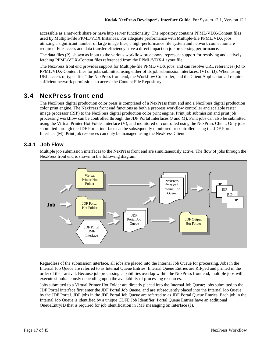accessible as a network share or have http server functionality. The repository contains PPML/VDX-Content files used by Multiple-file PPML/VDX Instances. For adequate performance with Multiple-file PPML/VDX jobs utilizing a significant number of large image files, a high-performance file system and network connection are required. File access and data transfer efficiency have a direct impact on job processing performance.

The data files (P), shown as input to the various workflow processors, represent support for resolving and actively fetching PPML/VDX-Content files referenced from the PPML/VDX-Layout file.

The NexPress front end provides support for Multiple-file PPML/VDX jobs, and can resolve URL references (R) to PPML/VDX-Content files for jobs submitted using either of its job submission interfaces, (V) or (J). When using URL access of type "file," the NexPress front end, the Workflow Controller, and the Client Application all require sufficient network permissions to access the Content File Repository.

# <span id="page-16-0"></span>**3.4 NexPress front end**

The NexPress digital production color press is comprised of a NexPress front end and a NexPress digital production color print engine. The NexPress front end functions as both a prepress workflow controller and scalable raster image processor (RIP) to the NexPress digital production color print engine. Print job submission and print job processing workflow can be controlled through the JDF Portal Interfaces (J and M). Print jobs can also be submitted using the Virtual Printer Hot Folder Interface (V), and monitored or controlled using the NexPress Client. Only jobs submitted through the JDF Portal interface can be subsequently monitored or controlled using the JDF Portal Interface (M). Print job resources can only be managed using the NexPress Client.

### <span id="page-16-1"></span>**3.4.1 Job Flow**

Multiple job submission interfaces to the NexPress front end are simultaneously active. The flow of jobs through the NexPress front end is shown in the following diagram.



Regardless of the submission interface, all jobs are placed into the Internal Job Queue for processing. Jobs in the Internal Job Queue are referred to as Internal Queue Entries. Internal Queue Entries are RIPped and printed in the order of their arrival. Because job processing capabilities overlap within the NexPress front end, multiple jobs will execute simultaneously depending upon the availability of processing resources.

Jobs submitted to a Virtual Printer Hot Folder are directly placed into the Internal Job Queue; jobs submitted to the JDF Portal interface first enter the JDF Portal Job Queue, and are subsequently placed into the Internal Job Queue by the JDF Portal. JDF jobs in the JDF Portal Job Queue are referred to as JDF Portal Queue Entries. Each job in the Internal Job Queue is identified by a unique CDFE Job Identifier. Portal Queue Entries have an additional QueueEntryID that is required for job identification in JMF messaging on Interface (J).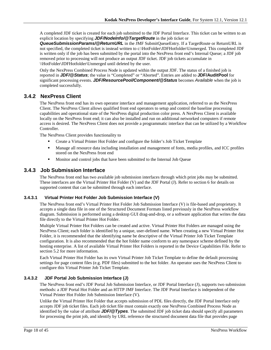A completed JDF ticket is created for each job submitted to the JDF Portal Interface. This ticket can be written to an explicit location by specifying *JDF/NodeInfo/@TargetRoute* in the job ticket or

*QueueSubmissionParams/@ReturnURL* in the JMF SubmitQueueEntry. If a TargetRoute or ReturnURL is not specified, the completed ticket is instead written to c:\HotFolder\JDFHotfolder\Unmerged. This completed JDF is written only if the job has been submitted by the portal into the NexPress front end's Internal Queue; a JDF job removed prior to processing will not produce an output JDF ticket. JDF job tickets accumulate in \\HotFolder\JDFHotfolder\Unmerged until deleted by the user.

Only the NexPress Combined Process Node is updated within the output JDF. The status of a finished job is reported in *JDF/@Status*; the value is "Completed" or "Aborted". Entries are added to **JDF/AuditPool** for significant processing events. *JDF/ResourcePool/Component/@Status* becomes *Available* when the job is completed successfully.

### <span id="page-17-0"></span>**3.4.2 NexPress Client**

The NexPress front end has its own operator interface and management application, referred to as the NexPress Client. The NexPress Client allows qualified front end operators to setup and control the baseline processing capabilities and operational state of the NexPress digital production color press. A NexPress Client is available locally on the NexPress front end; it can also be installed and run on additional networked computers if remote access is desired. The NexPress Client does not provide a programmatic interface that can be utilized by a Workflow Controller.

The NexPress Client provides functionality to

- Create a Virtual Printer Hot Folder and configure the folder's Job Ticket Template
- Manage all resource data including installation and management of fonts, media profiles, and ICC profiles stored on the NexPress front end
- **Monition and control jobs that have been submitted to the Internal Job Queue**

### <span id="page-17-1"></span>**3.4.3 Job Submission Interface**

The NexPress front end has two available job submission interfaces through which print jobs may be submitted. These interfaces are the Virtual Printer Hot Folder (V) and the JDF Portal (J). Refer to section [6](#page-29-0) for details on supported content that can be submitted through each interface.

#### <span id="page-17-2"></span>**3.4.3.1 Virtual Printer Hot Folder Job Submission Interface (V)**

The NexPress front end's Virtual Printer Hot Folder Job Submission Interface (V) is file-based and proprietary. It accepts a single data file in one of the Structured Document Formats listed previously in the NexPress workflow diagram. Submission is performed using a desktop GUI drag-and-drop, or a software application that writes the data file directly to the Virtual Printer Hot Folder.

Multiple Virtual Printer Hot Folders can be created and active. Virtual Printer Hot Folders are managed using the NexPress Client; each folder is identified by a unique, user-defined name. When creating a new Virtual Printer Hot Folder, it is recommended that the identifying name be descriptive of the Virtual Printer Job Ticket Template configuration. It is also recommended that the hot folder name conform to any namespace scheme defined by the hosting enterprise. A list of available Virtual Printer Hot Folders is reported in the Device Capabilities File. Refer to section [5.2](#page-24-2) for more information.

Each Virtual Printer Hot Folder has its own Virtual Printer Job Ticket Template to define the default processing settings for page content files (e.g. PDF files) submitted to the hot folder. An operator uses the NexPress Client to configure this Virtual Printer Job Ticket Template.

#### <span id="page-17-3"></span>**3.4.3.2 JDF Portal Job Submission Interface (J)**

The NexPress front end's JDF Portal Job Submission Interface, or JDF Portal Interface (J), supports two submission methods: a JDF Portal Hot Folder and an HTTP JMF Interface. The JDF Portal Interface is independent of the Virtual Printer Hot Folder Job Submission Interface (V).

Unlike the Virtual Printer Hot Folder that accepts submission of PDL files directly, the JDF Portal Interface only accepts JDF job ticket files. Each job ticket file must contain exactly one NexPress Combined Process Node as identified by the value of attribute *JDF/@Types*. The submitted JDF job ticket data should specify all parameters for processing the print job, and identify by URL reference the structured document data file that provides page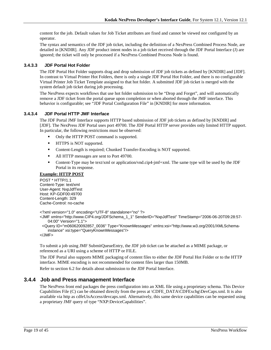content for the job. Default values for Job Ticket attributes are fixed and cannot be viewed nor configured by an operator.

The syntax and semantics of the JDF job ticket, including the definition of a NexPress Combined Process Node, are detailed in [KNDIR]. Any JDF product intent nodes in a job ticket received through the JDF Portal Interface (J) are ignored; the ticket will only be processed if a NexPress Combined Process Node is found.

#### <span id="page-18-0"></span>**3.4.3.3 JDF Portal Hot Folder**

The JDF Portal Hot Folder supports drag and drop submission of JDF job tickets as defined by [KNDIR] and [JDF]. In contrast to Virtual Printer Hot Folders, there is only a single JDF Portal Hot Folder, and there is no configurable Virtual Printer Job Ticket Template assigned to that hot folder. A submitted JDF job ticket is merged with the system default job ticket during job processing.

The NexPress expects workflows that use hot folder submission to be "Drop and Forget", and will automatically remove a JDF ticket from the portal queue upon completion or when aborted through the JMF interface. This behavior is configurable; see "JDF Portal Configuration File" in [KNDIR] for more information.

#### <span id="page-18-1"></span>**3.4.3.4 JDF Portal HTTP JMF Interface**

The JDF Portal JMF Interface supports HTTP based submission of JDF job tickets as defined by [KNDIR] and [JDF]. The NexPress JDF Portal uses port 49700. The JDF Portal HTTP server provides only limited HTTP support. In particular, the following restrictions must be observed:

- Only the HTTP POST command is supported.
- **IFFLUE IS NOT supported.**
- Content-Length is required; Chunked Transfer-Encoding is NOT supported.
- All HTTP messages are sent to Port 49700.
- Content-Type may be text/xml or application/vnd.cip4-jmf+xml. The same type will be used by the JDF Portal in its response.

#### **Example: HTTP POST**

POST \* HTTP/1.1 Content-Type: text/xml User-Agent: NxpJdfTest Host: KP-GDF00:49700 Content-Length: 329 Cache-Control: no-cache

```
<?xml version="1.0" encoding="UTF-8" standalone="no" ?>
```
<JMF xmlns="http://www.CIP4.org/JDFSchema\_1\_1" SenderID="NxpJdfTest" TimeStamp="2006-06-20T09:28:57- 04:00" Version="1.1">

 <Query ID="m060620092857\_0036" Type="KnownMessages" xmlns:xsi="http://www.w3.org/2001/XMLSchemainstance" xsi:type="QueryKnownMessages"/>

</JMF>

To submit a job using JMF SubmitQueueEntry, the JDF job ticket can be attached as a MIME package, or referenced as a URI using a scheme of HTTP or FILE.

The JDF Portal also supports MIME packaging of content files to either the JDF Portal Hot Folder or to the HTTP interface. MIME encoding is not recommended for content files larger than 150MB.

Refer to section [6.2](#page-32-0) for details about submission to the JDF Portal Interface.

#### <span id="page-18-2"></span>**3.4.4 Job and Press management Interface**

The NexPress front end packages the press configuration into an XML file using a proprietary schema. This Device Capabilities File (C) can be obtained directly from the press at \CDFE\_DATA\CDFExchg\DevCaps.xml. It is also available via http as cdfeUisAccess/devcaps.xml. Alternatively, this same device capabilities can be requested using a proprietary JMF query of type "NXP:DeviceCapabilities".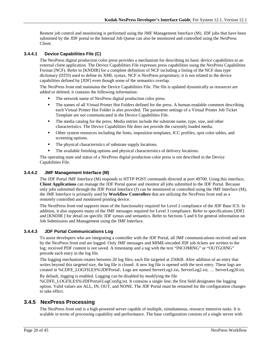Remote job control and monitoring is performed using the JMF Management Interface (M). JDF jobs that have been submitted by the JDF portal to the Internal Job Queue can also be monitored and controlled using the NexPress Client.

#### <span id="page-19-0"></span>**3.4.4.1 Device Capabilities File (C)**

The NexPress digital production color press provides a mechanism for describing its basic device capabilities to an external client application. The Device Capabilities File expresses press capabilities using the NexPress Capabilities Format (NCF). Refer to [KNDIR] for a complete definition of NCF including a listing of the NCF data type dictionary (DTD) used to define its XML syntax. NCF is NexPress proprietary; it is not related to the device capabilities defined by [JDF] even though some of the semantics overlap.

The NexPress front end maintains the Device Capabilities File. The file is updated dynamically as resources are added or deleted; it contains the following information:

- The network name of NexPress digital production color press.
- The names of all Virtual Printer Hot Folders defined for the press. A human-readable comment describing each Virtual Printer Hot Folder is also provided. The parameter settings of a Virtual Printer Job Ticket Template are not communicated in the Device Capabilities File.
- The media catalog for the press. Media entries include the substrate name, type, size, and other characteristics. The Device Capabilities file does not provide the currently loaded media.
- Other system resources including the fonts, imposition templates, ICC profiles, spot color tables, and screening options.
- The physical characteristics of substrate supply locations.
- The available finishing options and physical characteristics of delivery locations.

The operating state and status of a NexPress digital production color press is not described in the Device Capabilities File.

#### <span id="page-19-1"></span>**3.4.4.2 JMF Management Interface (M)**

The JDF Portal JMF Interface (M) responds to HTTP POST commands directed at port 49700. Using this interface, **Client Applications** can manage the JDF Portal queue and monitor all jobs submitted to the JDF Portal. Because only jobs submitted through the JDF Portal Interface (J) can be monitored or controlled using the JMF Interface (M), the JMF Interface is primarily used by **Workflow Controllers** that are utilizing the NexPress front end as a remotely controlled and monitored printing device.

The NextPress front end supports most of the functionality required for Level 2 compliance of the JDF Base ICS. In addition, it also supports many of the JMF messages required for Level 3 compliance. Refer to specifications [JDF] and [KNDIR ] for detail on specific JDF syntax and semantics. Refer to Sections [5](#page-24-0) and [6](#page-29-0) for general information on Job Submission and Management using the JMF Interface.

#### <span id="page-19-2"></span>**3.4.4.3 JDF Portal Communications Log**

To assist developers who are integrating a controller with the JDF Portal, all JMF communications received and sent by the NexPress front end are logged. Only JMF messages and MIME-encoded JDF job tickets are written to the log; received PDF content is not saved. A timestamp and a tag with the text "INCOMING" or "OUTGOING" precede each entry in the log file.

The logging mechanism rotates between 20 log files; each file targeted at 256KB. After addition of an entry that writes beyond this targeted size, the log file is closed. A new log file is opened with the next entry. These logs are created in %CDFE\_LOGFILES%\JDFPortal\. Logs are named ServerLog1.txt, ServerLog2.txt, … ServerLog20.txt.

By default, logging is enabled. Logging can be disabled by modifying the file %CDFE\_LOGFILES%\JDFPortal\LogConfig.txt. It contains a single line; the first field designates the logging option. Valid values are ALL, IN, OUT, and NONE. The JDF Portal must be restarted for the configuration changes to take effect.

### <span id="page-19-3"></span>**3.4.5 NexPress Processing**

The NexPress front end is a high-powered server capable of multiple, simultaneous, resource intensive tasks. It is scalable in terms of processing capability and performance. The base configuration consists of a single server with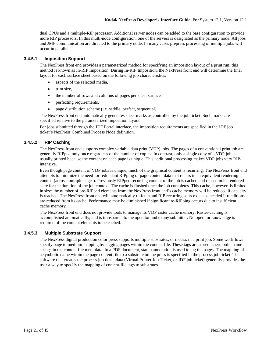dual CPUs and a multiple-RIP processor. Additional server nodes can be added to the base configuration to provide more RIP processors. In this multi-node configuration, one of the servers is designated as the primary node. All jobs and JMF communication are directed to the primary node. In many cases prepress processing of multiple jobs will occur in parallel.

#### <span id="page-20-0"></span>**3.4.5.1 Imposition Support**

The NexPress front end provides a parameterized method for specifying an imposition layout of a print run; this method is known as In-RIP Imposition. During In-RIP Imposition, the NexPress front end will determine the final layout for each surface sheet based on the following job characteristics:

- aspects of the selected media,
- trim size,
- the number of rows and columns of pages per sheet surface,
- perfecting requirements,
- page distribution scheme (i.e. saddle, perfect, sequential).

The NexPress front end automatically generates sheet marks as controlled by the job ticket. Such marks are specified relative to the parameterized imposition layout.

For jobs submitted through the JDF Portal interface, the imposition requirements are specified in the JDF job ticket's NexPress Combined Process Node definition.

#### <span id="page-20-1"></span>**3.4.5.2 RIP Caching**

The NexPress front end supports complex variable data print (VDP) jobs. The pages of a conventional print job are generally RIPped only once regardless of the number of copies. In contrast, only a single copy of a VDP job is usually printed because the content on each page is unique. This additional processing makes VDP jobs very RIPintensive.

Even though page content of VDP jobs is unique, much of the graphical content is recurring. The NexPress front end attempts to minimize the need for redundant RIPping of page-content data that recurs in an equivalent rendering context (across multiple pages). Previously RIPped recurring content of the job is cached and reused in its rendered state for the duration of the job context. The cache is flushed once the job completes. This cache, however, is limited in size; the number of pre-RIPped elements from the NexPress front end's cache memory will be reduced if capacity is reached. The NexPress front end will automatically re-fetch and RIP recurring source data as needed if renditions are reduced from its cache. Performance may be diminished if significant re-RIPping occurs due to insufficient cache memory.

The NexPress front end does not provide tools to manage its VDP raster cache memory. Raster-caching is accomplished automatically, and is transparent to the operator and to any submitter. No operator knowledge is required of the content elements to be cached.

#### <span id="page-20-2"></span>**3.4.5.3 Multiple Substrate Support**

The NexPress digital production color press supports multiple substrates, or media, in a print job. Some workflows specify page to medium mapping by tagging pages within the content file. These tags are stored as symbolic name strings in the content file meta-data. In a PDF document, stamp annotation is used to tag the pages. The mapping of a symbolic name within the page content file to a substrate on the press is specified in the process job ticket. The software that creates the process job ticket data (Virtual Printer Job Ticket, or JDF job ticket) generally provides the user a way to specify the mapping of content-file tags to substrates.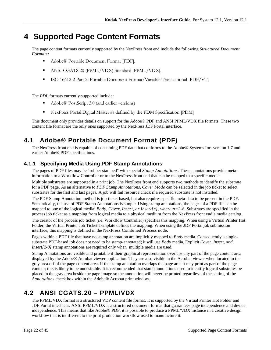# <span id="page-21-0"></span>**4 Supported Page Content Formats**

The page content formats currently supported by the NexPress front end include the following *Structured Document Formats:*

- Adobe® Portable Document Format [PDF].
- ANSI CGATS.20 (PPML/VDX) Standard [PPML/VDX].
- ISO 16612-2 Part 2: Portable Document Format/Variable Transactional [PDF/VT]

The *PDL* formats currently supported include:

- Adobe® PostScript 3.0 (and earlier versions)
- NexPress Portal Digital Master as defined by the PDM Specification [PDM]

This document only provides details on support for the Adobe® PDF and ANSI PPML/VDX file formats. These two content file format are the only ones supported by the NexPress JDF Portal interface.

# <span id="page-21-1"></span>**4.1 Adobe® Portable Document Format (PDF)**

The NexPress front end is capable of consuming PDF data that conforms to the Adobe® Systems Inc. version 1.7 and earlier Adobe® PDF specifications.

# <span id="page-21-2"></span>**4.1.1 Specifying Media Using PDF Stamp Annotations**

The pages of PDF files may be "rubber stamped" with special *Stamp Annotations*. These annotations provide metainformation to a Workflow Controller or to the NexPress front end that can be mapped to a specific media.

Multiple substrates are supported in a print job. The NexPress front end supports two methods to identify the substrate for a PDF page. As an alternative to *PDF Stamp Annotations*, *Cover Mode* can be selected in the job ticket to select substrates for the first and last pages*.* A job will fail resource check if a required substrate is not installed.

The PDF Stamp Annotation method is job-ticket based, but also requires specific meta-data to be present in the PDF. Semantically, the use of PDF Stamp Annotations is simple. Using stamp annotations, the pages of a PDF file can be mapped to one of the logical media: *Body*, *Cover*, *Insert, or Insert[n], where n=2-8*. Substrates are specified in the process job ticket as a mapping from logical media to a physical medium from the NexPress front end's media catalog.

The creator of the process job ticket (i.e. Workflow Controller) specifies this mapping. When using a Virtual Printer Hot Folder, the Virtual Printer Job Ticket Template defines the mapping. When using the JDF Portal job submission interface, this mapping is defined in the NexPress Combined Process node.

Pages within a PDF file that have no stamp annotation are implicitly mapped to *Body* media. Consequently a singlesubstrate PDF-based job does not need to be stamp-annotated; it will use *Body* media. Explicit *Cover* ,*Insert, and Insert*[2-8] stamp annotations are required only when multiple media are used.

Stamp Annotations are visible and printable if their graphical representation overlaps any part of the page content area displayed by the Adobe® Acrobat viewer application. They are also visible in the Acrobat viewer when located in the gray area off of the page content area. If the stamp annotation overlaps the page area it may print as part of the page content; this is likely to be undesirable. It is recommended that stamp annotations used to identify logical substrates be placed in the gray area beside the page image so the annotation will never be printed regardless of the setting of the *Annotations* check box within the Adobe® Acrobat print window.

# <span id="page-21-3"></span>**4.2 ANSI CGATS.20 – PPML/VDX**

The PPML/VDX format is a structured VDP content file format. It is supported by the Virtual Printer Hot Folder and JDF Portal interfaces. ANSI PPML/VDX is a structured document format that guarantees page independence and device independence. This means that like Adobe® PDF, it is possible to produce a PPML/VDX instance in a creative design workflow that is indifferent to the print production workflow used to manufacture it.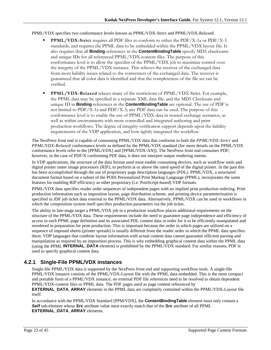#### PPML/VDX specifies two conformance levels known as PPML/VDX-Strict and PPML/VDX-Relaxed.

- **PPML/VDX-Strict** requires all PDF files to conform to either the PDF/X-1a or PDF/X-3 standards, and requires the PPML data to be embedded within the PPML/VDX layout file. It also requires that all **Binding** references in the **ContentBindingTable** specify MD5 checksums and unique IDs for all referenced PPML/VDX-content files. The purpose of this conformance level is to allow the specifier of the PPML/VDX job to maximize control over the integrity of the PPML/VDX instance. This relieves the receiver of the exchanged data from most liability issues related to the correctness of the exchanged data. The receiver is guaranteed that all color data is identified and that the completeness of the file set can be verified.
- **PPML/VDX-Relaxed** relaxes many of the restrictions of PPML/VDX-Strict. For example, the PPML data may be specified in a separate XML data file, and the MD5 Checksum and unique ID in **Binding** references in the **ContentBindingTable** are optional. The use of PDF is not limited to PDF/X-1a and PDF/X-3; any PDF data can be used. The purpose of this conformance level is to enable the use of PPML/VDX data in trusted exchange scenarios, as well as within environments with more controlled and integrated authoring and print production workflows. The degree of integrity verification support depends upon the liability requirements of the VDP application, and how tightly integrated the workflow.

The NexPress front end is capable of consuming PPML/VDX data that conforms to both the *PPML/VDX-Strict* and *PPML/VDX-Relaxed* conformance levels as defined by the PPML/VDX standard (for more details on the PPML/VDX conformance levels refer to the [PPML/VDX] and [PPML/VDX-AN]). The NexPress front end consumes PDF; however, in the case of PDF/X conforming PDF data, it does not interpret output rendering intents.

In VDP applications, the structure of the data format used must enable consuming devices, such as workflow tools and digital printer raster image processors (RIP*)*, to perform at or above the rated speed of the digital printer. In the past this has been accomplished through the use of proprietary page description languages (PDL). PPML/VDX, a structured document format based on a subset of the PODi Personalized Print Markup Language (PPML), incorporates the same features for enabling RIP efficiency as other proprietary (i.e. PostScript-based) VDP formats.

PPML/VDX data specifies reader order sequences of independent pages with no implied print production ordering. Print production information such as imposition layout, page distribution scheme, and printing device parameterization is specified in JDF job ticket data external to the PPML/VDX data. Alternatively, PPML/VDX can be used in workflows in which the composition system itself specifies production parameters via the job ticket.

The ability to late-stage target a PPML/VDX job in a production workflow places additional requirements on the structure of the PPML/VDX data. These requirements include the need to guarantee page independence and efficiency of access to each PPML page definition and its associated PDL content data in order for it to be efficiently manipulated and reordered in preparation for print production. This is important because the order in which pages are utilized on a sequence of imposed sheets (printer spreads) is usually different from the reader order in which the PPML data specifies them. VDP languages that combine layout information with actual content data cannot guarantee efficient parsing and manipulation as required by an imposition process. This is why embedding graphical content data within the PPML data (using the PPML **INTERNAL\_DATA** element) is prohibited by the PPML/VDX standard. For similar reasons, PDF is used to specify graphical content data.

# <span id="page-22-0"></span>**4.2.1 Single-File PPML/VDX instances**

Single-file PPML/VDX data is supported by the NexPress front end and supporting workflow tools. A single-file PPML/VDX instance consists of the PPML/VDX-Layout file with the PPML data embedded. This is the most compact and portable form of a PPML/VDX instance; no external PDF file references need to be resolved to obtain dependent PPML/VDX-content files or PPML data. The PDF pages used as page content referenced by

**EXTERNAL\_DATA\_ARRAY** elements in the PPML data are completely contained within the PPML/VDX-Layout file itself.

In accordance with the PPML/VDX Standard [PPM/VDX], the **ContentBindingTable** element must only contain a *Self* sub-element whose *Src* attribute value must exactly match that of the *Src* attribute of all PPML **EXTERNAL\_DATA\_ARRAY** elements.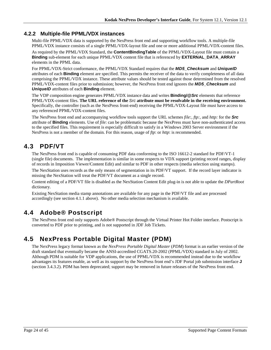## <span id="page-23-0"></span>**4.2.2 Multiple-file PPML/VDX instances**

Multi-file PPML/VDX data is supported by the NexPress front end and supporting workflow tools. A multiple-file PPML/VDX instance consists of a single PPML/VDX-layout file and one or more additional PPML/VDX-content files.

As required by the PPML/VDX Standard, the **ContentBindingTable** of the PPML/VDX-Layout file must contain a **Binding** sub-element for each unique PPML/VDX content file that is referenced by **EXTERNAL\_DATA\_ARRAY** elements in the PPML data.

For PPML/VDX-Strict conformance, the PPML/VDX Standard requires that the *MD5\_Checksum* and *UniqueID* attributes of each **Binding** element are specified. This permits the receiver of the data to verify completeness of all data comprising the PPML/VDX instance. These attribute values should be tested against those determined from the resolved PPML/VDX-content files prior to submission; however, the NexPress front end ignores the *MD5\_Checksum* and *UniqueID* attributes of each **Binding** element.

The VDP composition engine generates PPML/VDX instance data and writes **Binding/@***Src* elements that reference PPML/VDX-content files. **The URL reference of the** *Src* **attribute must be resolvable in the receiving environment.** Specifically, the controller (such as the NexPress front-end) receiving the PPML/VDX-Layout file must have access to any referenced PPML/VDX-content files.

The NexPress front end and accompanying workflow tools support the URL schemes *file:, ftp:,* and *http:* for the *Src* attribute of **Binding** elements. Use of *file*: can be problematic because the NexPress must have non-authenticated access to the specified files. This requirement is especially difficult to satisfy in a Windows 2003 Server environment if the NexPress is not a member of the domain. For this reason, usage of *ftp*: or *http*: is recommended.

# <span id="page-23-1"></span>**4.3 PDF/VT**

The NexPress front end is capable of consuming PDF data conforming to the ISO 16612-2 standard for PDF/VT-1 (single file) documents. The implementation is similar in some respects to VDX support (printing record ranges, display of records in Imposition Viewer/Content Edit) and similar to PDF in other respects (media selection using stamps).

The NexStation uses records as the only means of segmentation in its PDF/VT support. If the record layer indicator is missing the NexStation will treat the PDF/VT document as a single record.

Content editing of a PDF/VT file is disabled as the NexStation Content Edit plug-in is not able to update the *DPartRoot*  dictionary.

Existing NexStation media stamp annotations are available for any page in the PDF/VT file and are processed accordingly (see section 4.1.1 above). No other media selection mechanism is available.

# <span id="page-23-2"></span>**4.4 Adobe® Postscript**

The NexPress front end only supports Adobe® Postscript through the Virtual Printer Hot Folder interface. Postscript is converted to PDF prior to printing, and is not supported in JDF Job Tickets.

# <span id="page-23-3"></span>**4.5 NexPress Portable Digital Master (PDM)**

The NexPress legacy format known as the *NexPress Portable Digital Master* (*PDM*) format is an earlier version of the draft standard that eventually became the ANSI-accredited CGATS.20-2002 (PPML/VDX) standard in July of 2002. Although PDM is suitable for VDP applications, the use of PPML/VDX is recommended instead due to the workflow advantages its features enable, as well as its support by the NexPress front end's JDF Portal job submission interface **J** (section [3.4.3.2\)](#page-17-3). PDM has been deprecated; support may be removed in future releases of the NexPress front end.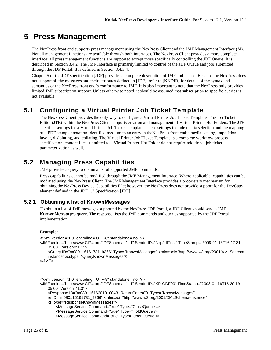# <span id="page-24-0"></span>**5 Press Management**

The NexPress front end supports press management using the NexPress Client and the JMF Management Interface (M). Not all management functions are available through both interfaces. The NexPress Client provides a more complete interface; all press management functions are supported except those specifically controlling the JDF Queue. It is described in Sectio[n 3.4.2.](#page-17-0) The JMF Interface is primarily limited to control of the JDF Queue and jobs submitted through the JDF Portal. It is defined in Section [3.4.3.4.](#page-18-1)

Chapter 5 of the JDF specification [JDF] provides a complete description of JMF and its use. Because the NexPress does not support all the messages and their attributes defined in [JDF], refer to [KNDIR] for details of the syntax and semantics of the NexPress front end's conformance to JMF. It is also important to note that the NexPress only provides limited JMF subscription support. Unless otherwise noted, it should be assumed that subscription to specific queries is not available.

# <span id="page-24-1"></span>**5.1 Configuring a Virtual Printer Job Ticket Template**

The NexPress Client provides the only way to configure a Virtual Printer Job Ticket Template. The Job Ticket Editor (JTE) within the NexPress Client supports creation and management of Virtual Printer Hot Folders. The JTE specifies settings for a Virtual Printer Job Ticket Template. These settings include media selection and the mapping of a PDF stamp annotation-identified medium to an entry in theNexPress front end's media catalog, imposition layout, disjointing, and collating. The Virtual Printer Job Ticket Template is a complete workflow process specification; content files submitted to a Virtual Printer Hot Folder do not require additional job ticket parameterization as well.

# <span id="page-24-2"></span>**5.2 Managing Press Capabilities**

JMF provides a query to obtain a list of supported JMF commands.

Press capabilities cannot be modified through the JMF Management Interface. Where applicable, capabilities can be modified using the NexPress Client. The JMF Management Interface provides a proprietary mechanism for obtaining the NexPress Device Capabilities File; however, the NexPress does not provide support for the DevCaps element defined in the JDF 1.3 Specification [JDF]

# <span id="page-24-3"></span>**5.2.1 Obtaining a list of KnownMessages**

To obtain a list of JMF messages supported by the NexPress JDF Portal, a JDF Client should send a JMF **KnownMessages** query. The response lists the JMF commands and queries supported by the JDF Portal implementation.

#### **Example:**

```
<?xml version="1.0" encoding="UTF-8" standalone="no" ?>
<JMF xmlns="http://www.CIP4.org/JDFSchema_1_1" SenderID="NxpJdfTest" TimeStamp="2008-01-16T16:17:31-
    05:00" Version="1.1">
     <Query ID="m080116161731_9366" Type="KnownMessages" xmlns:xsi="http://www.w3.org/2001/XMLSchema-
    instance" xsi:type="QueryKnownMessages"/>
</JMF>
…
<?xml version="1.0" encoding="UTF-8" standalone="no" ?>
<JMF xmlns="http://www.CIP4.org/JDFSchema_1_1" SenderID="KP-GDF00" TimeStamp="2008-01-16T16:20:19-
    05:00" Version="1.3">
     <Response ID="m080116162019_0043" ReturnCode="0" Type="KnownMessages" 
    refID="m080116161731_9366" xmlns:xsi="http://www.w3.org/2001/XMLSchema-instance"
```

```
xsi:type="ResponseKnownMessages">
```

```
 <MessageService Command="true" Type="CloseQueue"/>
```

```
 <MessageService Command="true" Type="HoldQueue"/>
```

```
 <MessageService Command="true" Type="OpenQueue"/>
```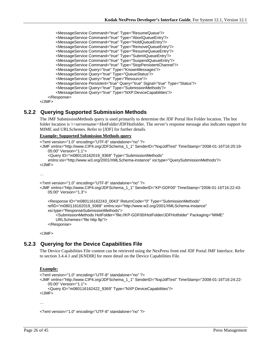```
 <MessageService Command="true" Type="ResumeQueue"/>
        <MessageService Command="true" Type="AbortQueueEntry"/>
 <MessageService Command="true" Type="HoldQueueEntry"/>
 <MessageService Command="true" Type="RemoveQueueEntry"/>
 <MessageService Command="true" Type="ResumeQueueEntry"/>
 <MessageService Command="true" Type="SubmitQueueEntry"/>
 <MessageService Command="true" Type="SuspendQueueEntry"/>
 <MessageService Command="true" Type="StopPersistentChannel"/>
        <MessageService Query="true" Type="KnownMessages"/>
        <MessageService Query="true" Type="QueueStatus"/>
        <MessageService Query="true" Type="Resource"/>
        <MessageService Persistent="true" Query="true" Signal="true" Type="Status"/>
        <MessageService Query="true" Type="SubmissionMethods"/>
        <MessageService Query="true" Type="NXP:DeviceCapabilities"/>
    </Response>
```
</JMF>

### <span id="page-25-0"></span>**5.2.2 Querying Supported Submission Methods**

The JMF SubmissionMethods query is used primarily to determine the JDF Portal Hot Folder location. The hot folder location is  $\|\$ servername> $\He$ OtFolder $\D$ DFHotfolder. The server's response message also indicates support for MIME and URLSchemes. Refer to [JDF] for further details.

#### **Example: Supported Submission Methods query**

```
<?xml version="1.0" encoding="UTF-8" standalone="no" ?>
<JMF xmlns="http://www.CIP4.org/JDFSchema_1_1" SenderID="NxpJdfTest" TimeStamp="2008-01-16T16:20:19-
    05:00" Version="1.1">
     <Query ID="m080116162019_9368" Type="SubmissionMethods" 
    xmlns:xsi="http://www.w3.org/2001/XMLSchema-instance" xsi:type="QuerySubmissionMethods"/>
</JMF>
<?xml version="1.0" encoding="UTF-8" standalone="no" ?>
<JMF xmlns="http://www.CIP4.org/JDFSchema_1_1" SenderID="KP-GDF00" TimeStamp="2008-01-16T16:22:43-
   05:00" Version="1.3">
```

```
 <Response ID="m080116162243_0043" ReturnCode="0" Type="SubmissionMethods" 
refID="m080116162019_9368" xmlns:xsi="http://www.w3.org/2001/XMLSchema-instance" 
xsi:type="ResponseSubmissionMethods">
    <SubmissionMethods HotFolder="file://KP-GDF00/HotFolder/JDFHotfolder" Packaging="MIME" 
    URLSchemes="file http ftp"/>
 </Response>
```
</JMF>

### <span id="page-25-1"></span>**5.2.3 Querying for the Device Capabilities File**

The Device Capabilities File content can be retrieved using the NexPress front end JDF Portal JMF Interface. Refer to section [3.4.4.1](#page-19-0) and [KNDIR] for more detail on the Device Capabilities File.

#### **Example:**

```
<?xml version="1.0" encoding="UTF-8" standalone="no" ?>
<JMF xmlns="http://www.CIP4.org/JDFSchema_1_1" SenderID="NxpJdfTest" TimeStamp="2008-01-16T16:24:22-
   05:00" Version="1.1">
     <Query ID="m080116162422_9369" Type="NXP:DeviceCapabilities"/>
</JMF>
```
…

<?xml version="1.0" encoding="UTF-8" standalone="no" ?>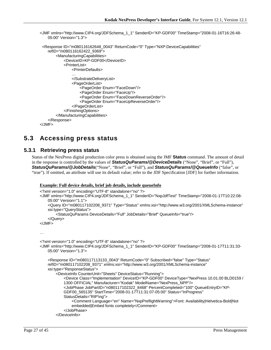```
<JMF xmlns="http://www.CIP4.org/JDFSchema_1_1" SenderID="KP-GDF00" TimeStamp="2008-01-16T16:26:48-
   05:00" Version="1.3">
  <Response ID="m080116162648_0043" ReturnCode="0" Type="NXP:DeviceCapabilities" 
    refID="m080116162422_9369">
```

```
 <ManufacturingCapabilities>
             <DeviceID>KP-GDF00</DeviceID>
            <PrinterList>
                <PrinterDefaults>
                …
                </SubstrateDeliveryList>
                <PageOrderList>
                    <PageOrder Enum="FaceDown"/>
                    <PageOrder Enum="FaceUp"/>
                    <PageOrder Enum="FaceDownReverseOrder"/>
                    <PageOrder Enum="FaceUpReverseOrder"/>
                </PageOrderList>
            </FinishingOptions>
        </ManufacturingCapabilities>
    </Response>
</JMF>
```
# <span id="page-26-0"></span>**5.3 Accessing press status**

### <span id="page-26-1"></span>**5.3.1 Retrieving press status**

Status of the NexPress digital production color press is obtained using the JMF **Status** command. The amount of detail in the response is controlled by the values of *StatusQuParams/@DeviceDetails* ("None", "Brief", or "Full"), *StatusQuParams/@JobDetails*("None", "Brief", or "Full"), and *StatusQuParams/@QueueInfo* ("false", or "true"). If omitted, an attribute will use its default value; refer to the JDF Specification [JDF] for further information.

#### **Example: Full device details, brief job details, include queueInfo**

```
<?xml version="1.0" encoding="UTF-8" standalone="no" ?>
<JMF xmlns="http://www.CIP4.org/JDFSchema_1_1" SenderID="NxpJdfTest" TimeStamp="2008-01-17T10:22:08-
   05:00" Version="1.1">
     <Query ID="m080117102208_9371" Type="Status" xmlns:xsi="http://www.w3.org/2001/XMLSchema-instance" 
    xsi:type="QueryStatus">
         <StatusQuParams DeviceDetails="Full" JobDetails="Brief" QueueInfo="true"/>
     </Query>
</JMF>
…
<?xml version="1.0" encoding="UTF-8" standalone="no" ?>
<JMF xmlns="http://www.CIP4.org/JDFSchema_1_1" SenderID="KP-GDF00" TimeStamp="2008-01-17T11:31:33-
   05:00" Version="1.3">
     <Response ID="m080117113133_0043" ReturnCode="0" Subscribed="false" Type="Status" 
    refID="m080117102208_9371" xmlns:xsi="http://www.w3.org/2001/XMLSchema-instance" 
    xsi:type="ResponseStatus">
         <DeviceInfo CounterUnit="Sheets" DeviceStatus="Running">
            <Device Class="Implementation" DeviceID="KP-GDF00" DeviceType="NexPress 10.01.00 BLD0159 / 
            1300 OFFICIAL" Manufacturer="Kodak" ModelName="NexPress_NPP"/>
            <JobPhase JobPartID="n080117102322_8468" PercentCompleted="100" QueueEntryID="KP-
            GDF00_565135" StartTime="2008-01-17T11:31:07-05:00" Status="InProgress" 
            StatusDetails="RIP'ing">
                <Comment Language="en" Name="NxpPreflightWarning">Font: Availability|Helvetica-Bold|Not 
                embedded|Embed fonts completely</Comment>
             </JobPhase>
         </DeviceInfo>
```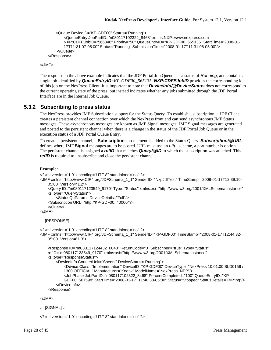```
 <Queue DeviceID="KP-GDF00" Status="Running">
```

```
<QueueEntry JobPartID="n080117102322_8468" xmlns:NXP=www.nexpress.com
       NXP:CDFEJobID="566846" Priority="50" QueueEntryID="KP-GDF00_565135" StartTime="2008-01-
       17T11:31:07-05:00" Status="Running" SubmissionTime="2008-01-17T11:31:06-05:00"/>
     </Queue>
 </Response>
```
</JMF>

The response in the above example indicates that the JDF Portal Job Queue has a status of *Running*, and contains a single job identified by *QueueEntryID*=*KP-GDF00\_565135*. *NXP:CDFEJobID* provides the corresponding id of this job on the NexPress Client. It is important to note that *DeviceInfo/@DeviceStatus* does not correspond to the current operating state of the press, but instead indicates whether any jobs submitted through the JDF Portal Interface are in the Internal Job Queue.

### <span id="page-27-0"></span>**5.3.2 Subscribing to press status**

The NexPress provides JMF Subscription support for the Status Query. To establish a subscription, a JDF Client creates a persistent channel connection over which the NexPress front end can send asynchronous JMF Status messages. These asynchronous messages are known as JMF Signal messages. JMF Signal messages are generated and posted to the persistent channel when there is a change in the status of the JDF Portal Job Queue or in the execution status of a JDF Portal Queue Entry.

To create a persistent channel, a **Subscription** sub-element is added to the Status Query. *Subscription/@URL* defines where JMF **Signal** messages are to be posted. URL must use an *http:* scheme, a port number is optional. The persistent channel is assigned a *refID* that matches *Query/@ID* to which the subscription was attached. This *refID* is required to unsubscribe and close the persistent channel.

#### **Example:**

```
<?xml version="1.0" encoding="UTF-8" standalone="no" ?>
<JMF xmlns="http://www.CIP4.org/JDFSchema_1_1" SenderID="NxpJdfTest" TimeStamp="2008-01-17T12:39:10-
    05:00" Version="1.2">
     <Query ID="m080117123549_9170" Type="Status" xmlns:xsi="http://www.w3.org/2001/XMLSchema-instance" 
    xsi:type="QueryStatus">
         <StatusQuParams DeviceDetails="Full"/>
     <Subscription URL="http://KP-GDF00::40000/"/>
     </Query>
</JMF>
… [RESPONSE] …
<?xml version="1.0" encoding="UTF-8" standalone="no" ?>
<JMF xmlns="http://www.CIP4.org/JDFSchema_1_1" SenderID="KP-GDF00" TimeStamp="2008-01-17T12:44:32-
    05:00" Version="1.3">
     <Response ID="m080117124432_0043" ReturnCode="0" Subscribed="true" Type="Status"
```

```
refID="m080117123549_9170" xmlns:xsi="http://www.w3.org/2001/XMLSchema-instance" 
xsi:type="ResponseStatus">
     <DeviceInfo CounterUnit="Sheets" DeviceStatus="Running">
        <Device Class="Implementation" DeviceID="KP-GDF00" DeviceType="NexPress 10.01.00 BLD0159 / 
        1300 OFFICIAL" Manufacturer="Kodak" ModelName="NexPress_NPP"/>
        <JobPhase JobPartID="n080117102322_8468" PercentCompleted="100" QueueEntryID="KP-
        GDF00_567598" StartTime="2008-01-17T11:40:38-05:00" Status="Stopped" StatusDetails="RIP'ing"/>
     </DeviceInfo>
 </Response>
```

```
</JMF>
```

```
… [SIGNAL] …
```
<?xml version="1.0" encoding="UTF-8" standalone="no" ?>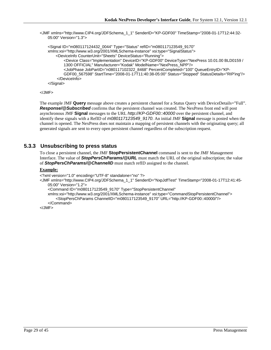<JMF xmlns="http://www.CIP4.org/JDFSchema\_1\_1" SenderID="KP-GDF00" TimeStamp="2008-01-17T12:44:32- 05:00" Version="1.3">

```
 <Signal ID="m080117124432_0044" Type="Status" refID="m080117123549_9170" 
xmlns:xsi="http://www.w3.org/2001/XMLSchema-instance" xsi:type="SignalStatus">
     <DeviceInfo CounterUnit="Sheets" DeviceStatus="Running">
        <Device Class="Implementation" DeviceID="KP-GDF00" DeviceType="NexPress 10.01.00 BLD0159 / 
        1300 OFFICIAL" Manufacturer="Kodak" ModelName="NexPress_NPP"/>
        <JobPhase JobPartID="n080117102322_8468" PercentCompleted="100" QueueEntryID="KP-
        GDF00_567598" StartTime="2008-01-17T11:40:38-05:00" Status="Stopped" StatusDetails="RIP'ing"/>
     </DeviceInfo>
 </Signal>
```

```
</JMF>
```
The example JMF **Query** message above creates a persistent channel for a Status Query with DeviceDetails="Full". *Response/@Subscribed* confirms that the persistent channel was created. The NexPress front end will post asynchronous JMF **Signal** messages to the URL *http://KP-GDF00::40000* over the persistent channel, and identify these signals with a RefID of *m080117123549\_9170*. An initial JMF **Signal** message is posted when the channel is opened. The NexPress does not maintain a mapping of persistent channels with the originating query; all generated signals are sent to every open persistent channel regardless of the subscription request.

### <span id="page-28-0"></span>**5.3.3 Unsubscribing to press status**

To close a persistent channel, the JMF **StopPersistentChannel** command is sent to the JMF Management Interface. The value of *StopPersChParams/@URL* must match the URL of the original subscription; the value of *StopPersChParams/@ChannelID* must match refID assigned to the channel.

#### **Example:**

```
<?xml version="1.0" encoding="UTF-8" standalone="no" ?>
```
<JMF xmlns="http://www.CIP4.org/JDFSchema\_1\_1" SenderID="NxpJdfTest" TimeStamp="2008-01-17T12:41:45- 05:00" Version="1.2">

```
 <Command ID="m080117123549_9170" Type="StopPersistentChannel"
```
xmlns:xsi="http://www.w3.org/2001/XMLSchema-instance" xsi:type="CommandStopPersistentChannel"> <StopPersChParams ChannelID="m080117123549\_9170" URL="http://KP-GDF00::40000/"/>

 </Command>  $<$ /JMF $>$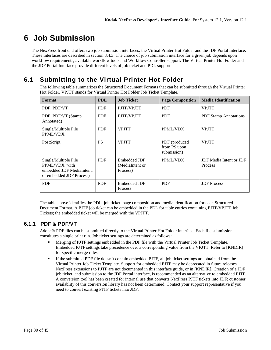# <span id="page-29-0"></span>**6 Job Submission**

The NexPress front end offers two job submission interfaces: the Virtual Printer Hot Folder and the JDF Portal Interface. These interfaces are described in section [3.4.3.](#page-17-1) The choice of job submission interface for a given job depends upon workflow requirements, available workflow tools and Workflow Controller support. The Virtual Printer Hot Folder and the JDF Portal Interface provide different levels of job ticket and PDL support.

# <span id="page-29-1"></span>**6.1 Submitting to the Virtual Printer Hot Folder**

The following table summarizes the Structured Document Formats that can be submitted through the Virtual Printer Hot Folder. VPJTT stands for Virtual Printer Hot Folder Job Ticket Template.

| Format                                                                                          | <b>PDL</b> | <b>Job Ticket</b>                           | <b>Page Composition</b>                      | <b>Media Identification</b>                             |
|-------------------------------------------------------------------------------------------------|------------|---------------------------------------------|----------------------------------------------|---------------------------------------------------------|
| PDF, PDF/VT                                                                                     | <b>PDF</b> | PJTF/VPJTT                                  | <b>PDF</b>                                   | <b>VPJTT</b>                                            |
| PDF, PDF/VT (Stamp<br>Annotated)                                                                | <b>PDF</b> | PJTF/VPJTT                                  | <b>PDF</b>                                   | <b>PDF Stamp Annotations</b>                            |
| Single/Multiple File<br>PPML/VDX                                                                | <b>PDF</b> | <b>VPJTT</b>                                | PPML/VDX                                     | <b>VPJTT</b>                                            |
| PostScript                                                                                      | <b>PS</b>  | <b>VPJTT</b>                                | PDF (produced<br>from PS upon<br>submission) | <b>VPJTT</b>                                            |
| Single/Multiple File<br>PPML/VDX (with<br>embedded JDF MediaIntent,<br>or embedded JDF Process) | <b>PDF</b> | Embedded JDF<br>(MediaIntent or<br>Process) | PPML/VDX                                     | <b>JDF</b> Media Intent or <b>JDF</b><br><b>Process</b> |
| <b>PDF</b>                                                                                      | <b>PDF</b> | Embedded JDF<br>Process                     | <b>PDF</b>                                   | <b>JDF</b> Process                                      |

The table above identifies the PDL, job ticket, page composition and media identification for each Structured Document Format. A PJTF job ticket can be embedded in the PDL for table entries containing PJTF/VPJTT Job Tickets; the embedded ticket will be merged with the VPJTT.

## <span id="page-29-2"></span>**6.1.1 PDF & PDF/VT**

Adobe® PDF files can be submitted directly to the Virtual Printer Hot Folder interface. Each file submission constitutes a single print run. Job ticket settings are determined as follows:

- Merging of PJTF settings embedded in the PDF file with the Virtual Printer Job Ticket Template. Embedded PJTF settings take precedence over a corresponding value from the VPJTT. Refer to [KNDIR] for specific merge rules.
- If the submitted PDF file doesn't contain embedded PJTF, all job ticket settings are obtained from the Virtual Printer Job Ticket Template. Support for embedded PJTF may be deprecated in future releases. NexPress extensions to PJTF are not documented in this interface guide, or in [KNDIR]. Creation of a JDF job ticket, and submission to the JDF Portal interface, is recommended as an alternative to embedded PJTF. A conversion tool has been created for internal use that converts NexPress PJTF tickets into JDF; customer availablity of this conversion library has not been determined. Contact your support representative if you need to convert existing PJTF tickets into JDF.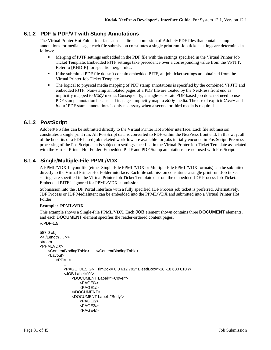### <span id="page-30-0"></span>**6.1.2 PDF & PDF/VT with Stamp Annotations**

The Virtual Printer Hot Folder interface accepts direct submission of Adobe® PDF files that contain stamp annotations for media usage; each file submission constitutes a single print run. Job ticket settings are determined as follows:

- Merging of PJTF settings embedded in the PDF file with the settings specified in the Virtual Printer Job Ticket Template. Embedded PJTF settings take precedence over a corresponding value from the VPJTT. Refer to [KNDIR] for specific merge rules.
- If the submitted PDF file doesn't contain embedded PJTF, all job ticket settings are obtained from the Virtual Printer Job Ticket Template.
- The logical to physical media mapping of PDF stamp annotations is specified by the combined VPJTT and embedded PJTF. Non-stamp annotated pages of a PDF file are treated by the NexPress front end as implicitly mapped to *Body* media. Consequently, a single-substrate PDF-based job does not need to use PDF stamp annotation because all its pages implicitly map to *Body* media. The use of explicit *Cover* and *Insert* PDF stamp annotations is only necessary when a second or third media is required.

### <span id="page-30-1"></span>**6.1.3 PostScript**

Adobe® PS files can be submitted directly to the Virtual Printer Hot Folder interface. Each file submission constitutes a single print run. All PostScript data is converted to PDF within the NexPress front end. In this way, all of the benefits of a PDF based job ticketed workflow are available for jobs initially encoded in PostScript. Prepress processing of the PostScript data is subject to settings specified in the Virtual Printer Job Ticket Template associated with the Virtual Printer Hot Folder. Embedded PJTF and PDF Stamp annotations are not used with PostScript.

### <span id="page-30-2"></span>**6.1.4 Single/Multiple-File PPML/VDX**

A PPML/VDX-Layout file (either Single-File PPML/VDX or Multiple-File PPML/VDX formats) can be submitted directly to the Virtual Printer Hot Folder interface. Each file submission constitutes a single print run. Job ticket settings are specified in the Virtual Printer Job Ticket Template or from the embedded JDF Process Job Ticket. Embedded PJTF is ignored for PPML/VDX submissions.

Submission into the JDF Portal Interface with a fully specified JDF Process job ticket is preferred. Alternatively, JDF Process or JDF MediaIntent can be embedded into the PPML/VDX and submitted into a Virtual Printer Hot Folder.

#### **Example: PPML/VDX**

This example shows a Single-File PPML/VDX. Each **JOB** element shown contains three **DOCUMENT** elements, and each **DOCUMENT** element specifies the reader-ordered content pages.

```
%PDF-1.5
…
587 0 obj
<< /Length … >>
stream
<PPMLVDX>
   <ContentBindingTable> … </ContentBindingTable>
   <Layout>
       <PPML>
           …
           <PAGE_DESIGN TrimBox="0 0 612 792" BleedBox="-18 -18 630 810"/>
           <JOB Label="0"><DOCUMENT Label="FCover">
                   <PAGE0/>
                   <PAGE1/>
               </DOCUMENT>
               <DOCUMENT Label="Body"> 
                   <PAGE2/>
                   <PAGE3/>
                   <PAGE4/>
                   …
```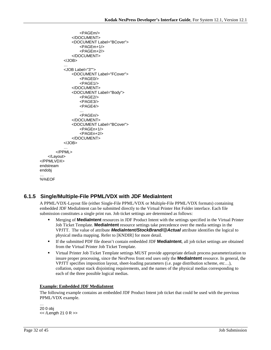```
<PAGEm/>
              </DOCUMENT>
              <DOCUMENT Label="BCover">
                 <PAGEm+1/>
                  <PAGEm+2/>
              </DOCUMENT>
          </JOB>
           …
           <JOB Label="3"">
              <DOCUMENT Label="FCover">
                 <PAGE0/>
                 <PAGE1/>
              </DOCUMENT>
              <DOCUMENT Label="Body"> 
                 <PAGE2/>
                 <PAGE3/>
                 <PAGE4/>
                  …
                 <PAGEn/>
              </DOCUMENT>
              <DOCUMENT Label="BCover">
                  <PAGEn+1/>
                 <PAGEn+2/>
              </DOCUMENT>
          </JOB></PPML>
   </Layout>
</PPMLVDX>
endstream
endobj
…
%%EOF
```
# <span id="page-31-0"></span>**6.1.5 Single/Multiple-File PPML/VDX with JDF MediaIntent**

A PPML/VDX-Layout file (either Single-File PPML/VDX or Multiple-File PPML/VDX formats) containing embedded JDF MediaIntent can be submitted directly to the Virtual Printer Hot Folder interface. Each file submission constitutes a single print run. Job ticket settings are determined as follows:

- Merging of **MediaIntent** resources in JDF Product Intent with the settings specified in the Virtual Printer Job Ticket Template. **MediaIntent** resource settings take precedence over the media settings in the VPJTT. The value of attribute *MediaIntent/StockBrand/@Actual* attribute identifies the logical to physical media mapping. Refer to [KNDIR] for more detail.
- If the submitted PDF file doesn't contain embedded JDF **MediaIntent**, all job ticket settings are obtained from the Virtual Printer Job Ticket Template.
- Virtual Printer Job Ticket Template settings MUST provide appropriate default process parameterization to insure proper processing, since the NexPress front end uses only the **MediaIntent** resource. In general, the VPJTT specifies imposition layout, sheet-loading parameters (i.e. page distribution scheme, etc…), collation, output stack disjointing requirements, and the names of the physical medias corresponding to each of the three possible logical medias.

#### **Example: Embedded JDF MediaIntent**

The following example contains an embedded JDF Product Intent job ticket that could be used with the previous PPML/VDX example.

… 20 0 obj << /Length 21 0 R >>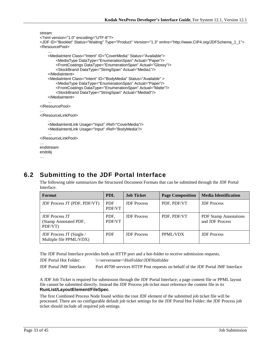```
stream
<?xml version="1.0" encoding="UTF-8"?>
<JDF ID="Booklet" Status="Waiting" Type="Product" Version="1.3" xmlns="http://www.CIP4.org/JDFSchema_1_1">
<ResourcePool>
    …
    <MediaIntent Class="Intent" ID="CoverMedia" Status="Available">
        <MediaType DataType="EnumerationSpan" Actual="Paper"/>
        <FrontCoatings DataType="EnumerationSpan" Actual="Glossy"/>
        <StockBrand DataType="StringSpan" Actual="Media1"/>
    </MediaIntent>
    <MediaIntent Class="Intent" ID="BodyMedia" Status="Available" >
        <MediaType DataType="EnumerationSpan" Actual="Paper"/>
        <FrontCoatings DataType="EnumerationSpan" Actual="Matte"/>
        <StockBrand DataType="StringSpan" Actual="Media0"/>
    </MediaIntent>
    …
</ResourcePool>
…
</ResourceLinkPool>
    …
    <MediaIntentLink Usage="Input" rRef="CoverMedia"/>
    <MediaIntentLink Usage="Input" rRef="BodyMedia"/>
    …
</ResourceLinkPool>
…
endstream
endobj
```
# <span id="page-32-0"></span>**6.2 Submitting to the JDF Portal Interface**

The following table summarizes the Structured Document Formats that can be submitted through the JDF Portal Interface.

| Format                                                    | <b>PDL</b>           | <b>Job Ticket</b>  | <b>Page Composition</b> | <b>Media Identification</b>                     |
|-----------------------------------------------------------|----------------------|--------------------|-------------------------|-------------------------------------------------|
| <b>JDF Process JT (PDF, PDF/VT)</b>                       | <b>PDF</b><br>PDF/VT | <b>JDF</b> Process | PDF, PDF/VT             | <b>JDF</b> Process                              |
| <b>JDF</b> Process JT<br>(Stamp Annotated PDF,<br>PDF/VT) | PDF.<br>PDF/VT       | <b>JDF</b> Process | PDF, PDF/VT             | <b>PDF</b> Stamp Annotations<br>and JDF Process |
| JDF Process JT (Single /<br>Multiple file PPML/VDX)       | <b>PDF</b>           | <b>JDF</b> Process | PPML/VDX                | <b>JDF</b> Process                              |

The JDF Portal Interface provides both an HTTP port and a hot-folder to receive submission requests.

JDF Portal Hot Folder: \\<servername>\HotFolder\JDFHotfolder

JDF Portal JMF Interface: Port 49700 services HTTP Post requests on behalf of the JDF Portal JMF Interface

A JDF Job Ticket is required for submission through the JDF Portal Interface; a page content file or PPML layout file cannot be submitted directly. Instead the JDF Process job ticket must reference the content file in its **RunList/LayoutElement/FileSpec**.

The first Combined Process Node found within the root JDF element of the submitted job ticket file will be processed. There are no configurable default job ticket settings for the JDF Portal Hot Folder; the JDF Process job ticket should include all required job settings.

…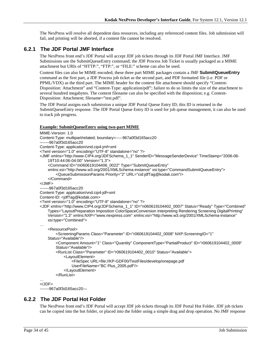The NexPress will resolve all dependent data resources, including any referenced content files. Job submission will fail, and printing will be aborted, if a content file cannot be resolved.

### <span id="page-33-0"></span>**6.2.1 The JDF Portal JMF Interface**

The NexPress front end's JDF Portal will accept JDF job tickets through its JDF Portal JMF Interface. JMF Submissions use the SubmitQueueEntry command; the JDF Process Job Ticket is usually packaged as a MIME attachment but URIs of "HTTP:", "FTP:", or "FILE:" scheme can also be used.

Content files can also be MIME encoded; these three part MIME packages contain a JMF **SubmitQueueEntry** command as the first part, a JDF Process job ticket as the second part, and PDF formatted file (i.e. PDF or PPML/VDX) as the third part. The MIME header for the content file attachment should specify "Content-Disposition: Attachment" and "Content-Type: application/pdf"; failure to do so limits the size of the attachment to several hundred megabytes. The content filename can also be specified with the disposition; e.g. Content-Disposition: Attachment; filename="test.pdf".

The JDF Portal assigns each submission a unique JDF Portal Queue Entry ID; this ID is returned in the SubmitQueueEntry response. The JDF Portal Queue Entry ID is used for job queue management, it can also be used to track job progress.

#### **Example: SubmitQueueEntry using two-part MIME**

```
MIME-Version: 1.0
Content-Type: multipart/related; boundary=-----967a0f3d165acc20
-------967a0f3d165acc20
Content-Type: application/vnd.cip4-jmf+xml
<?xml version="1.0" encoding="UTF-8" standalone="no" ?>
<JMF xmlns="http://www.CIP4.org/JDFSchema_1_1" SenderID="MessageSenderDevice" TimeStamp="2006-06-
    19T10:44:06-04:00" Version="1.3">
     <Command ID="m060619104406_0022" Type="SubmitQueueEntry" 
    xmlns:xsi="http://www.w3.org/2001/XMLSchema-instance" xsi:type="CommandSubmitQueueEntry">
         <QueueSubmissionParams Priority="2" URL="cid:jdfTag@kodak.com"/>
     </Command>
</JMF>
-------967a0f3d165acc20
Content-Type: application/vnd.cip4-jdf+xml
Content-ID: <idfTag@kodak.com>
<?xml version="1.0" encoding="UTF-8" standalone="no" ?>
<JDF xmlns="http://www.CIP4.org/JDFSchema_1_1" ID="n060619104402_0007" Status="Ready" Type="Combined" 
    Types="LayoutPreparation Imposition ColorSpaceConversion Interpreting Rendering Screening DigitalPrinting" 
    Version="1.3" xmlns:NXP="www.nexpress.com" xmlns:xsi="http://www.w3.org/2001/XMLSchema-instance" 
    xsi:type="Combined">
…
     <ResourcePool>
         <ScreeningParams Class="Parameter" ID="r060619104402_0008" NXP:ScreeningID="1" 
    Status="Available"/>
        <Component Amount="1" Class="Quantity" ComponentType="PartialProduct" ID="r060619104402_0009" 
        Status="Available"/>
         <RunList Class="Parameter" ID="r060619104402_0010" Status="Available">
             <LayoutElement>
                 <FileSpec URL=file://KP-GDF00/TestFiles/develop/onepage.pdf
                UserFileName="BC Plus_2005.pdf"/>
             </LayoutElement>
         </RunList>
…
</JDF>
-------967a0f3d165acc20—
```
#### <span id="page-33-1"></span>**6.2.2 The JDF Portal Hot Folder**

The NexPress front end's JDF Portal will accept JDF job tickets through its JDF Portal Hot Folder. JDF job tickets can be copied into the hot folder, or placed into the folder using a simple drag and drop operation. No JMF response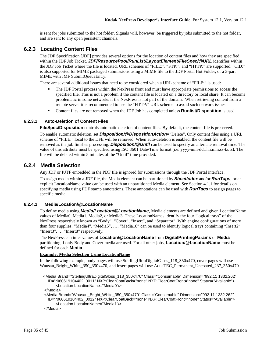is sent for jobs submitted to the hot folder. Signals will, however, be triggered by jobs submitted to the hot folder, and are sent to any open persistent channels.

### <span id="page-34-0"></span>**6.2.3 Locating Content Files**

The JDF Specification [JDF] provides several options for the location of content files and how they are specified within the JDF Job Ticket. *JDF/ResourcePool/RunList/LayoutElement/FileSpec/@URL* identifies within the JDF Job Ticket where the file is located. URL schemes of "FILE:", "FTP:", and "HTTP:" are supported. "CID:" is also supported for MIME packaged submissions using a MIME file to the JDF Portal Hot Folder, or a 3-part MIME with JMF SubmitQueueEntry.

There are several additional issues that need to be considered when a URL scheme of "FILE:" is used:

- The JDF Portal process within the NexPress front end must have appropriate permissions to access the specified file. This is not a problem if the content file is located on a directory or local share. It can become problematic in some networks if the NexPress is not part of the domain. When retrieving content from a remote server it is recommended to use the "HTTP:" URL scheme to avoid such network issues.
- Content files are not removed when the JDF Job has completed unless **Runlist/Disposition** is used.

#### <span id="page-34-1"></span>**6.2.3.1 Auto-Deletion of Content Files**

**FileSpec/Disposition** controls automatic deletion of content files. By default, the content file is preserved.

To enable automatic deletion, set *Disposition/@DispositionAction*="Delete". Only content files using a URL scheme of "FILE:" local to the DFE will be removed. When auto-deletion is enabled, the content file will be removed as the job finishes processing. *Disposition/@Until* can be used to specify an alternate removal time. The value of this attribute must be specified using ISO 8601 Date/Time format (i.e. yyyy-mm-ddThh:mm:ss-tz:tz). The file will be deleted within 5 minutes of the "Until" time provided.

### <span id="page-34-2"></span>**6.2.4 Media Selection**

Any JDF or PJTF embedded in the PDF file is ignored for submissions through the JDF Portal interface.

To assign media within a JDF file, the Media element can be partitioned by *SheetIndex* and/or *RunTags*, or an explicit LocationName value can be used with an unpartitioned Media element. See Section [4.1.1](#page-21-2) for details on specifying media using PDF stamp annotations. These annotations can be used with *RunTags* to assign pages to specific media.

#### <span id="page-34-3"></span>**6.2.4.1 Media/Location/@LocationName**

To define media using *Media/Location/@LocationName*, Media elements are defined and given LocationName values of Media0, Media1, Media2, or Media3. These LocationNames identify the four "logical trays" of the NexPress respectively known as "Body", "Cover", "Insert", and "Separator". With engine configurations of more than four supplies, "Media4", "Media5", …, "Media10" can be used to identify logical trays containing "Insert2", "Insert3", ... "Insert8" respectively.

The NexPress can infer values of **Location/@LocationName** from **DigitalPrintingParams** or **Media** partitioning if only Body and Cover media are used. For all other jobs, **Location/@LocationName** must be defined for each **Media**.

#### **Example: Media Selection Using LocationName**

In the following example, body pages will use SterlingUltraDigitalGloss\_118\_350x470, cover pages will use Wausau\_Bright\_White\_350\_350x470, and insert pages will use AquaTEC\_Permanent\_Uncoated\_237\_350x470.

 <Media Brand="SterlingUltraDigitalGloss\_118\_350x470" Class="Consumable" Dimension="992.11 1332.262" ID="r060619104402\_0011" NXP:ClearCoatBack="none" NXP:ClearCoatFront="none" Status="Available"> <Location LocationName="Media0"/>

</Media>

 <Media Brand="Wausau\_Bright\_White\_350\_350x470" Class="Consumable" Dimension="992.11 1332.262" ID="r060619104402\_0012" NXP:ClearCoatBack="none" NXP:ClearCoatFront="none" Status="Available"> <Location LocationName="Media1"/>

</Media>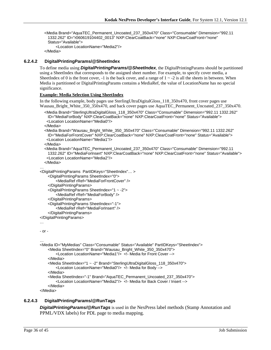<Media Brand="AquaTEC\_Permanent\_Uncoated\_237\_350x470" Class="Consumable" Dimension="992.11 1332.262" ID="r060619104402\_0013" NXP:ClearCoatBack="none" NXP:ClearCoatFront="none" Status="Available"> <Location LocationName="Media2"/>

```
 </Media>
```
#### <span id="page-35-0"></span>**6.2.4.2 DigitalPrintingParams/@SheetIndex**

To define media using *DigitalPrintingParams/@SheetIndex*, the DigitalPrintingParams should be partitioned using a SheetIndex that corresponds to the assigned sheet number. For example, to specify cover media, a SheetIndex of 0 is the front cover,  $-1$  is the back cover, and a range of  $1 \sim -2$  is all the sheets in between. When Media is partitioned or DigitalPrintingParams contains a MediaRef, the value of LocationName has no special significance.

#### **Example: Media Selection Using SheetIndex**

In the following example, body pages use SterlingUltraDigitalGloss\_118\_350x470, front cover pages use Wausau\_Bright\_White\_350\_350x470, and back cover pages use AquaTEC\_Permanent\_Uncoated\_237\_350x470.

```
 <Media Brand="SterlingUltraDigitalGloss_118_350x470" Class="Consumable" Dimension="992.11 1332.262" 
 ID="MediaForBody" NXP:ClearCoatBack="none" NXP:ClearCoatFront="none" Status="Available">
  <Location LocationName="Media0"/>
```
</Media>

```
 <Media Brand="Wausau_Bright_White_350_350x470" Class="Consumable" Dimension="992.11 1332.262" 
 ID="MediaForFrontCover" NXP:ClearCoatBack="none" NXP:ClearCoatFront="none" Status="Available">
  <Location LocationName="Media1"/>
```
</Media>

```
 <Media Brand="AquaTEC_Permanent_Uncoated_237_350x470" Class="Consumable" Dimension="992.11 
 1332.262" ID="MediaForInsert" NXP:ClearCoatBack="none" NXP:ClearCoatFront="none" Status="Available">
  <Location LocationName="Media2"/>
```
</Media>

```
…
<DigitalPrintingParams PartIDKeys="SheetIndex"… >
```

```
<DigitalPrintingParams SheetIndex="0">
```
<MediaRef rRef="MediaForFrontCover" /> </DigitalPrintingParams>

```
<DigitalPrintingParams SheetIndex="1 ~ -2">
    <MediaRef rRef="MediaForBody" />
```

```
</DigitalPrintingParams>
```

```
<DigitalPrintingParams SheetIndex="-1">
```

```
<MediaRef rRef="MediaForInsert" />
```

```
</DigitalPrintingParams>
```

```
</DigitalPrintingParams>
```
#### …

```
- or -
```
…

```
<Media ID="MyMedias" Class="Consumable" Status="Available" PartIDKeys="SheetIndex">
    <Media SheetIndex="0" Brand="Wausau_Bright_White_350_350x470">
        <Location LocationName="Media1"/> <!- Media for Front Cover -->
    </Media>
    <Media SheetIndex="1 ~ -2" Brand="SterlingUltraDigitalGloss_118_350x470">
        <Location LocationName="Media0"/> <!- Media for Body -->
    </Media>
    <Media SheetIndex="-1" Brand="AquaTEC_Permanent_Uncoated_237_350x470">
        <Location LocationName="Media2"/> <!- Media for Back Cover / Insert -->
    </Media>
```
</Media>

#### <span id="page-35-1"></span>**6.2.4.3 DigitalPrintingParams/@RunTags**

*DigitalPrintingParams/@RunTags* is used in the NexPress label methods (Stamp Annotation and PPML/VDX labels) for PDL page to media mapping.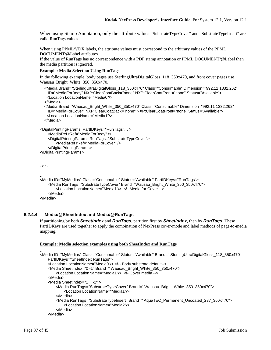When using Stamp Annotation, only the attribute values "SubstrateTypeCover" and "SubstrateTypeInsert" are valid RunTags values.

When using PPML/VDX labels, the attribute values must correspond to the arbitrary values of the PPML [DOCUMENT/@Label](mailto:DOCUMENT/@Label) attributes.

If the value of RunTags has no correspondence with a PDF stamp annotation or PPML DOCUMENT/@Label then the media partition is ignored.

#### **Example: Media Selection Using RunTags**

In the following example, body pages use SterlingUltraDigitalGloss\_118\_350x470, and front cover pages use Wausau\_Bright\_White\_350\_350x470.

```
 <Media Brand="SterlingUltraDigitalGloss_118_350x470" Class="Consumable" Dimension="992.11 1332.262" 
    ID="MediaForBody" NXP:ClearCoatBack="none" NXP:ClearCoatFront="none" Status="Available">
    <Location LocationName="Media0"/>
   </Media>
   <Media Brand="Wausau_Bright_White_350_350x470" Class="Consumable" Dimension="992.11 1332.262" 
    ID="MediaForCover" NXP:ClearCoatBack="none" NXP:ClearCoatFront="none" Status="Available">
    <Location LocationName="Media1"/>
   </Media>
…
<DigitalPrintingParams PartIDKeys="RunTags"… >
    <MediaRef rRef="MediaForBody" />
    <DigitalPrintingParams RunTags="SubstrateTypeCover">
        <MediaRef rRef="MediaForCover" />
    </DigitalPrintingParams>
</DigitalPrintingParams>
…
- or -
…
<Media ID="MyMedias" Class="Consumable" Status="Available" PartIDKeys="RunTags">
    <Media RunTags="SubstrateTypeCover" Brand="Wausau_Bright_White_350_350x470">
        <Location LocationName="Media1"/> <!- Media for Cover -->
    </Media>
</Media>
```
#### <span id="page-36-0"></span>**6.2.4.4 Media/@SheetIndex and Media/@RunTags**

If partitioning by both *SheetIndex* and *RunTags*, partition first by *SheetIndex*, then by *RunTags*. These PartIDKeys are used together to apply the combination of NexPress cover-mode and label methods of page-to-media mapping.

#### **Example: Media selection examples using both SheetIndex and RunTags**

```
<Media ID="MyMedias" Class="Consumable" Status="Available" Brand=" SterlingUltraDigitalGloss_118_350x470" 
    PartIDKeys="SheetIndex RunTags">
    <Location LocationName="Media0"/> <!-- Body substrate default-->
    <Media SheetIndex="0 -1" Brand=" Wausau_Bright_White_350_350x470">
        <Location LocationName="Media1"/> <!- Cover media -->
    </Media>
    <Media SheetIndex="1 ~ -2" >
        <Media RunTags="SubstrateTypeCover" Brand=" Wausau_Bright_White_350_350x470">
            <Location LocationName="Media1"/>
        </Media>
        <Media RunTags="SubstrateTypeInsert" Brand=" AquaTEC_Permanent_Uncoated_237_350x470">
            <Location LocationName="Media2"/>
        </Media>
    </Media>
```
…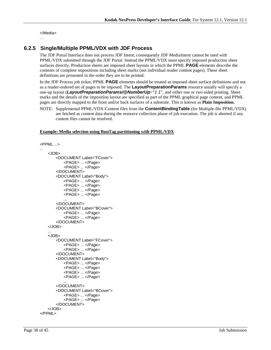</Media>

#### …

## <span id="page-37-0"></span>**6.2.5 Single/Multiple PPML/VDX with JDF Process**

The JDF Portal Interface does not process JDF Intent; consequently JDF MediaIntent cannot be used with PPML/VDX submitted through the JDF Portal. Instead the PPML/VDX must specify imposed production sheet surfaces directly. Production sheets are imposed sheet layouts in which the PPML **PAGE** elements describe the contents of complete impositions including sheet marks (not individual reader content pages). These sheet definitions are presented in the order they are to be printed.

In the JDF Process job ticket, PPML **PAGE** elements should be treated as imposed sheet surface definitions and not as a reader-ordered set of pages to be imposed. The **LayoutPreparationParams** resource usually will specify a one-up layout (*LayoutPreparationParams/@NumberUp*="*1 1*", and either one or two-sided printing. Sheet marks and the details of the imposition layout are specified as part of the PPML graphical page content, and PPML pages are directly mapped to the front and/or back surfaces of a substrate. This is known as **Plain Imposition.**

NOTE: Supplemental PPML/VDX-Content files from the **ContentBindingTable** (for Multiple-file PPML/VDX) are fetched as content data during the resource collection phase of job execution. The job is aborted if any content files cannot be resolved.

#### **Example: Media selection using RunTag partitioning with PPML/VDX**

```
<PPML ...>
...
    <JOB>
       <DOCUMENT Label="FCover">
           <PAGE> ... </Page>
           <PAGE> ... </Page>
       </DOCUMENT>
       <DOCUMENT Label="Body">
           <PAGE> ... </Page>
           <PAGE> ... </Page>
           <PAGE> ... </Page>
           <PAGE> ... </Page>
           ...
       </DOCUMENT>
       <DOCUMENT Label="BCover">
           <PAGE> ... </Page>
           <PAGE> ... </Page>
       </DOCUMENT>
    </JOB>
    ...
    <JOB>
       <DOCUMENT Label="FCover">
           <PAGE> ... </Page>
           <PAGE> ... </Page>
       </DOCUMENT>
       <DOCUMENT Label="Body">
           <PAGE> ... </Page>
           <PAGE> ... </Page>
           <PAGE> ... </Page>
           <PAGE> ... </Page>
           ...
       </DOCUMENT>
       <DOCUMENT Label="BCover">
           <PAGE> ... </Page>
           <PAGE> ... </Page>
       </DOCUMENT>
    </JOB>
</PPML>
```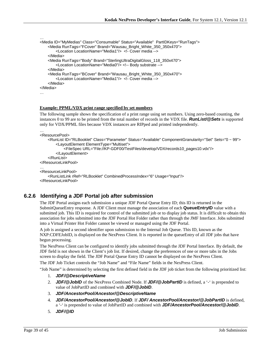```
…
<Media ID="MyMedias" Class="Consumable" Status="Available" PartIDKeys="RunTags">
    <Media RunTags="FCover" Brand="Wausau_Bright_White_350_350x470">
        <Location LocationName="Media1"/> <!- Cover media -->
    </Media>
    <Media RunTags="Body" Brand="SterlingUltraDigitalGloss_118_350x470">
        <Location LocationName="Media0"/> <!-- Body substrate -->
    </Media>
   <Media RunTags="BCover" Brand="Wausau_Bright_White_350_350x470">
        <Location LocationName="Media1"/> <!- Cover media -->
    </Media>
</Media>
…
```
#### **Example: PPML/VDX print range specified by set numbers**

The following sample shows the specification of a print range using set numbers. Using zero-based counting, the instances 0 to 99 are to be printed from the total number of records in the VDX file. *RunList/@Sets* is supported only for VDX/PPML files because VDX instances are RIPped and printed independently.

```
…
<ResourcePool>
```

```
<RunList ID="RLBooklet" Class="Parameter" Status="Available" ComponentGranularity="Set" Sets="0 ~ 99">
        <LayoutElement ElementType="Multiset">
            <FileSpec URL="File://KP-GDF00/TestFiles/develop/VDX/records10_pages10.vdx"/>
        </LayoutElement>
    </RunList>
</ResourceLinkPool>
…
<ResourceLinkPool>
   <RunListLink rRef="RLBooklet" CombinedProcessIndex="6" Usage="Input"/>
</ResourceLinkPool>
```
### <span id="page-38-0"></span>**6.2.6 Identifying a JDF Portal job after submission**

The JDF Portal assigns each submission a unique JDF Portal Queue Entry ID; this ID is returned in the SubmitQueueEntry response. A JDF Client must manage the association of each **QueueEntryID** value with a submitted job. This ID is required for control of the submitted job or to display job status. It is difficult to obtain this association for jobs submitted into the JDF Portal Hot Folder rather than through the JMF Interface. Jobs submitted into a Virtual Printer Hot Folder cannot be viewed or managed using the JDF Portal.

A job is assigned a second identifier upon submission to the Internal Job Queue. This ID, known as the NXP:CDFEJobID, is displayed on the NexPress Client. It is reported in the queueEntry of all JDF jobs that have begun processing.

The NexPress Client can be configured to identify jobs submitted through the JDF Portal Interface. By default, the JDF field is not shown in the Client's job list. If desired, change the preferences of one or more tabs in the Jobs screen to display the field. The JDF Portal Queue Entry ID cannot be displayed on the NexPress Client.

The JDF Job Ticket controls the "Job Name" and "File Name" fields in the NexPress Client.

"Job Name" is determined by selecting the first defined field in the JDF job ticket from the following prioritized list:

- 1. *JDF/@DescriptiveName*
- 2. *JDF/@JobID* of the NexPress Combined Node. If *JDF/@JobPartID* is defined, a '-' is prepended to value of JobPartID and combined with *JDF/@JobID*.
- 3. *JDF/AncestorPool/Ancestor/@DescriptiveName*
- 4. *JDF/AncestorPool/Ancestor/@JobID*. If *JDF/ AncestorPool/Ancestor/@JobPartID* is defined, a '-' is prepended to value of JobPartID and combined with *JDF/AncestorPool/Ancestor/@JobID*.
- 5. *JDF/@ID*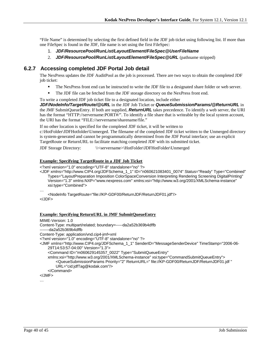"File Name" is determined by selecting the first defined field in the JDF job ticket using following list. If more than one FileSpec is found in the JDF, file name is set using the first FileSpec:

- 1. *JDF/ResourcePool/RunList/LayoutElement/FileSpec@UserFileName*
- 2. *JDF/ResourcePool/RunList/LayoutElement/FileSpec@URL* (pathname stripped)

## <span id="page-39-0"></span>**6.2.7 Accessing completed JDF Portal Job detail**

The NexPress updates the JDF AuditPool as the job is processed. There are two ways to obtain the completed JDF job ticket:

- The NexPress front end can be instructed to write the JDF file to a designated share folder or web server.
- The JDF file can be fetched from the JDF storage directory on the NexPress front end.
- To write a completed JDF job ticket file to a designated location, include either

*JDF/NodeInfo/TargetRoute/@URL* in the JDF Job Ticket or *QueueSubmissionParams/@ReturnURL* in the JMF SubmitQueueEntry. If both are supplied, *ReturnURL* takes precedence. To identify a web server, the URI has the format "HTTP://servername:PORT#/". To identify a file share that is writeable by the local system account, the URI has the format "FILE://servername/sharename/file."

If no other location is specified for the completed JDF ticket, it will be written to

c:\HotFolder\JDFHotfolder\Unmerged. The filename of the completed JDF ticket written to the Unmerged directory is system-generated and cannot be programmatically determined from the JDF Portal interface; use an explicit TargetRoute or ReturnURL to facilitate matching completed JDF with its submitted ticket.

JDF Storage Directory: \\<servername>\HotFolder\JDFHotFolder\Unmerged

#### **Example: Specifying TargetRoute in a JDF Job Ticket**

<?xml version="1.0" encoding="UTF-8" standalone="no" ?>

<JDF xmlns="http://www.CIP4.org/JDFSchema\_1\_1" ID="n060621083401\_0074" Status="Ready" Type="Combined" Types="LayoutPreparation Imposition ColorSpaceConversion Interpreting Rendering Screening DigitalPrinting" Version="1.3" xmlns:NXP="www.nexpress.com" xmlns:xsi="http://www.w3.org/2001/XMLSchema-instance" xsi:type="Combined">

…

#### **Example: Specifying ReturnURL in JMF SubmitQueueEntry**

```
MIME-Version: 1.0
Content-Type: multipart/related; boundary=-----da2a52b369b4dffb
-------da2a52b369b4dffb
Content-Type: application/vnd.cip4-jmf+xml
<?xml version="1.0" encoding="UTF-8" standalone="no" ?>
<JMF xmlns="http://www.CIP4.org/JDFSchema_1_1" SenderID="MessageSenderDevice" TimeStamp="2006-06-
    29T14:53:57-04:00" Version="1.3">
     <Command ID="m060629145357_0022" Type="SubmitQueueEntry" 
    xmlns:xsi="http://www.w3.org/2001/XMLSchema-instance" xsi:type="CommandSubmitQueueEntry">
        <QueueSubmissionParams Priority="2" ReturnURL=" file://KP-GDF00/ReturnJDF/ReturnJDF01.jdf " 
        URL="cid:jdfTag@kodak.com"/>
     </Command>
</JMF>
```
…

<sup>&</sup>lt;NodeInfo TargetRoute="file://KP-GDF00/ReturnJDF/ReturnJDF01.jdf"/> </JDF>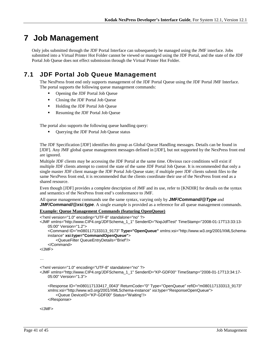# <span id="page-40-0"></span>**7 Job Management**

Only jobs submitted through the JDF Portal Interface can subsequently be managed using the JMF interface. Jobs submitted into a Virtual Printer Hot Folder cannot be viewed or managed using the JDF Portal, and the state of the JDF Portal Job Queue does not effect submission through the Virtual Printer Hot Folder.

# <span id="page-40-1"></span>**7.1 JDF Portal Job Queue Management**

The NexPress front end only supports management of the JDF Portal Queue using the JDF Portal JMF Interface. The portal supports the following queue management commands:

- Opening the JDF Portal Job Queue
- Closing the JDF Portal Job Queue
- **Holding the JDF Portal Job Queue**
- Resuming the JDF Portal Job Queue

The portal also supports the following queue handling query:

Querying the JDF Portal Job Queue status

The JDF Specification [JDF] identifies this group as Global Queue Handling messages. Details can be found in [JDF]. Any JMF global queue management messages defined in [JDF], but not supported by the NexPress front end are ignored.

Multiple JDF clients may be accessing the JDF Portal at the same time. Obvious race conditions will exist if multiple JDF clients attempt to control the state of the same JDF Portal Job Queue. It is recommended that only a single master JDF client manage the JDF Portal Job Queue state; if multiple peer JDF clients submit files to the same NexPress front end, it is recommended that the clients coordinate their use of the NexPress front end as a shared resource.

Even though [JDF] provides a complete description of JMF and its use, refer to [KNDIR] for details on the syntax and semantics of the NexPress front end's conformance to JMF.

All queue management commands use the same syntax, varying only by *JMF/Command/@Type* and *JMF/Command/@xsi:type.* A single example is provided as a reference for all queue management commands.

#### **Example: Queue Management Commands (featuring OpenQueue)**

```
<?xml version="1.0" encoding="UTF-8" standalone="no" ?>
<JMF xmlns="http://www.CIP4.org/JDFSchema_1_1" SenderID="NxpJdfTest" TimeStamp="2008-01-17T13:33:13-
    05:00" Version="1.2">
     <Command ID="m080117133313_9173" Type="OpenQueue" xmlns:xsi="http://www.w3.org/2001/XMLSchema-
    instance" xsi:type="CommandOpenQueue">
         <QueueFilter QueueEntryDetails="Brief"/>
     </Command>
</JMF>
…
<?xml version="1.0" encoding="UTF-8" standalone="no" ?>
<JMF xmlns="http://www.CIP4.org/JDFSchema_1_1" SenderID="KP-GDF00" TimeStamp="2008-01-17T13:34:17-
    05:00" Version="1.3">
     <Response ID="m080117133417_0043" ReturnCode="0" Type="OpenQueue" refID="m080117133313_9173" 
    xmlns:xsi="http://www.w3.org/2001/XMLSchema-instance" xsi:type="ResponseOpenQueue">
         <Queue DeviceID="KP-GDF00" Status="Waiting"/>
     </Response>
```
</JMF>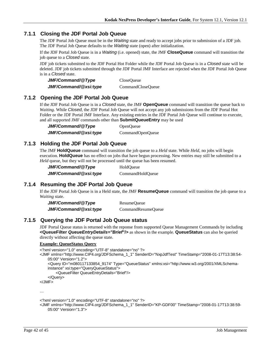## <span id="page-41-0"></span>**7.1.1 Closing the JDF Portal Job Queue**

The JDF Portal Job Queue must be in the *Waiting* state and ready to accept jobs prior to submission of a JDF job. The JDF Portal Job Queue defaults to the *Waiting* state (open) after initialization.

If the JDF Portal Job Queue is in a *Waiting* (i.e. opened) state, the JMF **CloseQueue** command will transition the job queue to a *Closed* state.

JDF job tickets submitted to the JDF Portal Hot Folder while the JDF Portal Job Queue is in a *Closed* state will be deleted. JDF job tickets submitted through the JDF Portal JMF Interface are rejected when the JDF Portal Job Queue is in a *Closed* state.

| JMF/Command/@Type     | CloseQueue        |
|-----------------------|-------------------|
| JMF/Command/@xsi:type | CommandCloseQueue |

## <span id="page-41-1"></span>**7.1.2 Opening the JDF Portal Job Queue**

If the JDF Portal Job Queue is in a *Closed* state, the JMF **OpenQueue** command will transition the queue back to *Waiting*. While *Closed*, the JDF Portal Job Queue will not accept any job submissions from the JDF Portal Hot Folder or the JDF Portal JMF Interface. Any existing entries in the JDF Portal Job Queue will continue to execute, and all supported JMF commands other than **SubmitQueueEntry** may be used

JMF/Command/@Type OpenQueue *JMF/Command/@xsi:type* CommandOpenQueue

## <span id="page-41-2"></span>**7.1.3 Holding the JDF Portal Job Queue**

The JMF **HoldQueue** command will transition the job queue to a *Held* state. While *Held*, no jobs will begin execution. **HoldQueue** has no effect on jobs that have begun processing. New entries may still be submitted to a *Held* queue, but they will not be processed until the queue has been resumed.

| JMF/Command/@Type     | HoldOueue        |
|-----------------------|------------------|
| JMF/Command/@xsi:type | CommandHoldOueue |

## <span id="page-41-3"></span>**7.1.4 Resuming the JDF Portal Job Queue**

If the JDF Portal Job Queue is in a Held state, the JMF **ResumeQueue** command will transition the job queue to a *Waiting* state.

| JMF/Command/@Type     | ResumeQueue        |
|-----------------------|--------------------|
| JMF/Command/@xsi:type | CommandResumeQueue |

## <span id="page-41-4"></span>**7.1.5 Querying the JDF Portal Job Queue status**

JDF Portal Queue status is returned with the reponse from supported Queue Management Commands by including **<QueueFilter** *QueueEntryDetails="Brief***"/>** as shown in the example. **QueueStatus** can also be queried directly without affecting the queue state.

#### **Example: QueueStatus Query**

```
<?xml version="1.0" encoding="UTF-8" standalone="no" ?>
<JMF xmlns="http://www.CIP4.org/JDFSchema_1_1" SenderID="NxpJdfTest" TimeStamp="2008-01-17T13:38:54-
   05:00" Version="1.2">
     <Query ID="m080117133854_9174" Type="QueueStatus" xmlns:xsi="http://www.w3.org/2001/XMLSchema-
    instance" xsi:type="QueryQueueStatus">
         <QueueFilter QueueEntryDetails="Brief"/>
     </Query>
</JMF>
```
…

```
<?xml version="1.0" encoding="UTF-8" standalone="no" ?>
```

```
<JMF xmlns="http://www.CIP4.org/JDFSchema_1_1" SenderID="KP-GDF00" TimeStamp="2008-01-17T13:38:59-
   05:00" Version="1.3">
```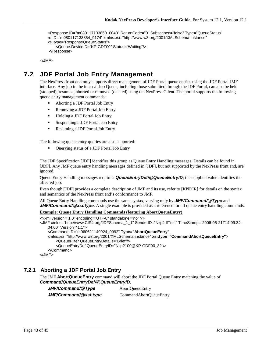```
 <Response ID="m080117133859_0043" ReturnCode="0" Subscribed="false" Type="QueueStatus" 
refID="m080117133854_9174" xmlns:xsi="http://www.w3.org/2001/XMLSchema-instance" 
xsi:type="ResponseQueueStatus">
     <Queue DeviceID="KP-GDF00" Status="Waiting"/>
</Response>
```
</JMF>

# <span id="page-42-0"></span>**7.2 JDF Portal Job Entry Management**

The NexPress front end only supports direct management of JDF Portal queue entries using the JDF Portal JMF interface. Any job in the internal Job Queue, including those submitted through the JDF Portal, can also be held (stopped), resumed, aborted or removed (deleted) using the NexPress Client. The portal supports the following queue entry management commands:

- Aborting a JDF Portal Job Entry
- **Removing a JDF Portal Job Entry**
- **Holding a JDF Portal Job Entry**
- Suspending a JDF Portal Job Entry
- Resuming a JDF Portal Job Entry

The following queue entry queries are also supported:

■ Querying status of a JDF Portal Job Entry

The JDF Specification [JDF] identifies this group as Queue Entry Handling messages. Details can be found in [JDF]. Any JMF queue entry handling messages defined in [JDF], but not supported by the NexPress front end, are ignored.

Queue Entry Handling messages require a *QueueEntryDef/@QueueEntryID*; the supplied value identifies the affected job.

Even though [JDF] provides a complete description of JMF and its use, refer to [KNDIR] for details on the syntax and semantics of the NexPress front end's conformance to JMF.

All Queue Entry Handling commands use the same syntax, varying only by *JMF/Command/@Type* and *JMF/Command/@xsi:type.* A single example is provided as a reference for all queue entry handling commands.

#### **Example: Queue Entry Handling Commands (featuring AbortQueueEntry)**

```
<?xml version="1.0" encoding="UTF-8" standalone="no" ?>
<JMF xmlns="http://www.CIP4.org/JDFSchema_1_1" SenderID="NxpJdfTest" TimeStamp="2006-06-21T14:09:24-
   04:00" Version="1.1">
    <Command ID="m060621140924_0092" Type="AbortQueueEntry"
   xmlns:xsi="http://www.w3.org/2001/XMLSchema-instance" xsi:type="CommandAbortQueueEntry">
        <QueueFilter QueueEntryDetails="Brief"/>
        <QueueEntryDef QueueEntryID="Nxp2100@KP-GDF00_32"/>
    </Command>
</JMF>
```
## <span id="page-42-1"></span>**7.2.1 Aborting a JDF Portal Job Entry**

The JMF **AbortQueueEntry** command will abort the JDF Portal Queue Entry matching the value of *Command/QueueEntryDef/@QueueEntryID*.

*JMF/Command/@Type* AbortQueueEntry *JMF/Command/@xsi:type* CommandAbortQueueEntry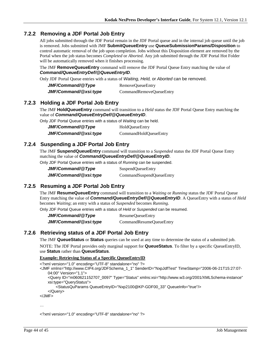## <span id="page-43-0"></span>**7.2.2 Removing a JDF Portal Job Entry**

All jobs submitted through the JDF Portal remain in the JDF Portal queue and in the internal job queue until the job is removed. Jobs submitted with JMF **SubmitQueueEntry** use **QueueSubmissionParams/Disposition** to control automatic removal of the job upon completion. Jobs without this Disposition element are removed by the Portal when the job status becomes *Completed* or *Aborted*. Any job submitted through the JDF Portal Hot Folder will be automatically removed when it finishes processing.

The JMF **RemoveQueueEntry** command will remove the JDF Portal Queue Entry matching the value of *Command/QueueEntryDef/@QueueEntryID*.

Only JDF Portal Queue entries with a status of *Waiting, Held,* or *Aborted* can be removed.

| JMF/Command/@Type     | RemoveQueueEntry        |
|-----------------------|-------------------------|
| JMF/Command/@xsi:type | CommandRemoveQueueEntry |

### <span id="page-43-1"></span>**7.2.3 Holding a JDF Portal Job Entry**

The JMF **HoldQueueEntry** command will transition to a *Held* status the JDF Portal Queue Entry matching the value of *Command/QueueEntryDef/@QueueEntryID*.

Only JDF Portal Queue entries with a status of *Waiting* can be held.

| JMF/Command/@Type     | <b>HoldQueueEntry</b> |
|-----------------------|-----------------------|
| JMF/Command/@xsi:type | CommandHoldQueueEntry |

## <span id="page-43-2"></span>**7.2.4 Suspending a JDF Portal Job Entry**

The JMF **SuspendQueueEntry** command will transition to a *Suspended* status the JDF Portal Queue Entry matching the value of *Command/QueueEntryDef/@QueueEntryID*.

Only JDF Portal Queue entries with a status of *Running* can be suspended.

| JMF/Command/@Type     | SuspendQueueEntry        |
|-----------------------|--------------------------|
| JMF/Command/@xsi:type | CommandSuspendQueueEntry |

# <span id="page-43-3"></span>**7.2.5 Resuming a JDF Portal Job Entry**

The JMF **ResumeQueueEntry** command will transition to a *Waiting* or *Running* status the JDF Portal Queue Entry matching the value of *Command/QueueEntryDef/@QueueEntryID*. A QueueEntry with a status of *Held* becomes *Waiting*; an entry with a status of *Suspended* becomes *Running*.

Only JDF Portal Queue entries with a status of *Held* or *Suspended* can be resumed.

*JMF/Command/@Type* ResumeQueueEntry *JMF/Command/@xsi:type* CommandResumeQueueEntry

## <span id="page-43-4"></span>**7.2.6 Retrieving status of a JDF Portal Job Entry**

The JMF **QueueStatus** or **Status** queries can be used at any time to determine the status of a submitted job.

NOTE: The JDF Portal provides only marginal support for **QueueStatus**. To filter by a specific QueueEntryID, use **Status** rather than **QueueStatus**.

#### **Example: Retrieving Status of a Specific QueueEntryID**

<?xml version="1.0" encoding="UTF-8" standalone="no" ?>

- <JMF xmlns="http://www.CIP4.org/JDFSchema\_1\_1" SenderID="NxpJdfTest" TimeStamp="2006-06-21T15:27:07- 04:00" Version="1.1">
	- <Query ID="m060621152707\_0097" Type="Status" xmlns:xsi="http://www.w3.org/2001/XMLSchema-instance" xsi:type="QueryStatus">

<StatusQuParams QueueEntryID="Nxp2100@KP-GDF00\_33" QueueInfo="true"/>

```
 </Query>
```
</JMF>

…

<?xml version="1.0" encoding="UTF-8" standalone="no" ?>